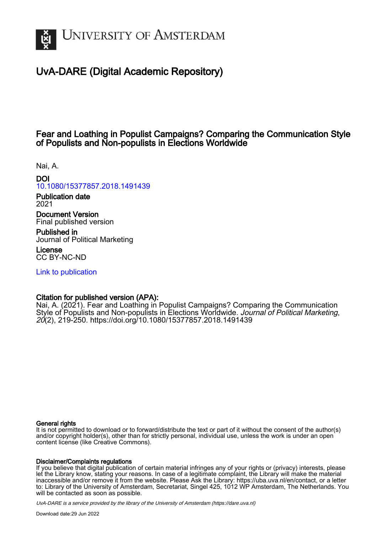

# UvA-DARE (Digital Academic Repository)

# Fear and Loathing in Populist Campaigns? Comparing the Communication Style of Populists and Non-populists in Elections Worldwide

Nai, A.

# DOI

# [10.1080/15377857.2018.1491439](https://doi.org/10.1080/15377857.2018.1491439)

Publication date 2021

Document Version Final published version

Published in Journal of Political Marketing

License CC BY-NC-ND

[Link to publication](https://dare.uva.nl/personal/pure/en/publications/fear-and-loathing-in-populist-campaigns-comparing-the-communication-style-of-populists-and-nonpopulists-in-elections-worldwide(ebdcd155-975a-4c73-9a33-6668ed205bfd).html)

# Citation for published version (APA):

Nai, A. (2021). Fear and Loathing in Populist Campaigns? Comparing the Communication Style of Populists and Non-populists in Elections Worldwide. Journal of Political Marketing, 20(2), 219-250.<https://doi.org/10.1080/15377857.2018.1491439>

### General rights

It is not permitted to download or to forward/distribute the text or part of it without the consent of the author(s) and/or copyright holder(s), other than for strictly personal, individual use, unless the work is under an open content license (like Creative Commons).

### Disclaimer/Complaints regulations

If you believe that digital publication of certain material infringes any of your rights or (privacy) interests, please let the Library know, stating your reasons. In case of a legitimate complaint, the Library will make the material inaccessible and/or remove it from the website. Please Ask the Library: https://uba.uva.nl/en/contact, or a letter to: Library of the University of Amsterdam, Secretariat, Singel 425, 1012 WP Amsterdam, The Netherlands. You will be contacted as soon as possible.

UvA-DARE is a service provided by the library of the University of Amsterdam (http*s*://dare.uva.nl)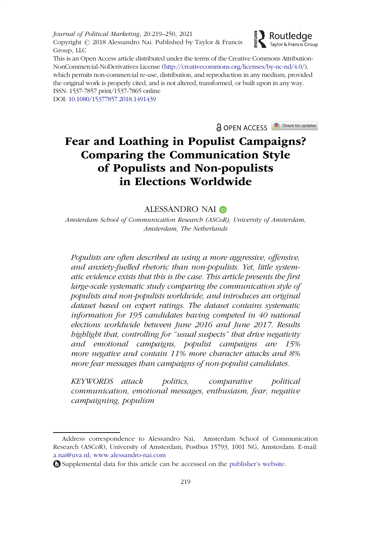Journal of Political Marketing, 20:219–250, 2021 Copyright © 2018 Alessandro Nai. Published by Taylor & Francis Group, LLC



This is an Open Access article distributed under the terms of the Creative Commons Attribution-NonCommercial-NoDerivatives License (http://creativecommons.org/licenses/by-nc-nd/4.0/), which permits non-commercial re-use, distribution, and reproduction in any medium, provided the original work is properly cited, and is not altered, transformed, or built upon in any way. ISSN: 1537-7857 print/1537-7865 online DOI: [10.1080/15377857.2018.1491439](https://doi.org/10.1080/15377857.2018.1491439)

**a** OPEN ACCESS **A** Check for updates

# Fear and Loathing in Populist Campaigns? Comparing the Communication Style of Populists and Non-populists in Elections Worldwide

#### ALESSANDRO NAI

Amsterdam School of Communication Research (ASCoR), University of Amsterdam, Amsterdam, The Netherlands

Populists are often described as using a more aggressive, offensive, and anxiety-fuelled rhetoric than non-populists. Yet, little systematic evidence exists that this is the case. This article presents the first large-scale systematic study comparing the communication style of populists and non-populists worldwide, and introduces an original dataset based on expert ratings. The dataset contains systematic information for 195 candidates having competed in 40 national elections worldwide between June 2016 and June 2017. Results highlight that, controlling for "usual suspects" that drive negativity and emotional campaigns, populist campaigns are 15% more negative and contain 11% more character attacks and 8% more fear messages than campaigns of non-populist candidates.

KEYWORDS attack politics, comparative political communication, emotional messages, enthusiasm, fear, negative campaigning, populism

Address correspondence to Alessandro Nai, Amsterdam School of Communication Research (ASCoR), University of Amsterdam, Postbus 15793, 1001 NG, Amsterdam. E-mail: a.nai@uva.nl; [www.alessandro-nai.com](http://www.alessandro-nai.com)

Supplemental data for this article can be accessed on the [publisher](https://doi.org/10.1080/15377857.2018.1491439)'s website.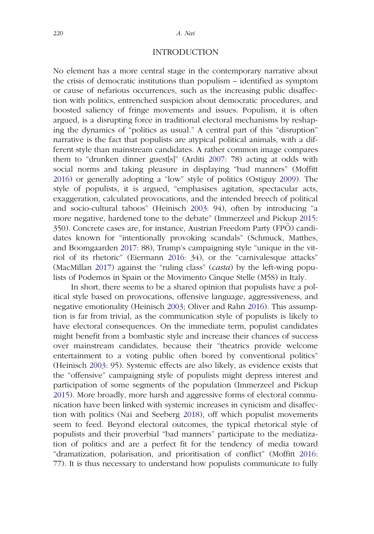#### INTRODUCTION

<span id="page-2-0"></span>No element has a more central stage in the contemporary narrative about the crisis of democratic institutions than populism – identified as symptom or cause of nefarious occurrences, such as the increasing public disaffection with politics, entrenched suspicion about democratic procedures, and boosted saliency of fringe movements and issues. Populism, it is often argued, is a disrupting force in traditional electoral mechanisms by reshaping the dynamics of "politics as usual." A central part of this "disruption" narrative is the fact that populists are atypical political animals, with a different style than mainstream candidates. A rather common image compares them to "drunken dinner guest[s]" (Arditi [2007:](#page-26-0) 78) acting at odds with social norms and taking pleasure in displaying "bad manners" (Moffitt [2016\)](#page-29-0) or generally adopting a "low" style of politics (Ostiguy [2009\)](#page-30-0). The style of populists, it is argued, "emphasises agitation, spectacular acts, exaggeration, calculated provocations, and the intended breech of political and socio-cultural taboos" (Heinisch [2003:](#page-28-0) 94), often by introducing "a more negative, hardened tone to the debate" (Immerzeel and Pickup [2015:](#page-28-0) 350). Concrete cases are, for instance, Austrian Freedom Party (FPO) candi- € dates known for "intentionally provoking scandals" (Schmuck, Matthes, and Boomgaarden [2017](#page-31-0): 88), Trump's campaigning style "unique in the vitriol of its rhetoric" (Eiermann [2016](#page-27-0): 34), or the "carnivalesque attacks" (MacMillan [2017](#page-29-0)) against the "ruling class" (casta) by the left-wing populists of Podemos in Spain or the Movimento Cinque Stelle (M5S) in Italy.

In short, there seems to be a shared opinion that populists have a political style based on provocations, offensive language, aggressiveness, and negative emotionality (Heinisch [2003](#page-28-0); Oliver and Rahn [2016\)](#page-30-0). This assumption is far from trivial, as the communication style of populists is likely to have electoral consequences. On the immediate term, populist candidates might benefit from a bombastic style and increase their chances of success over mainstream candidates, because their "theatrics provide welcome entertainment to a voting public often bored by conventional politics" (Heinisch [2003:](#page-28-0) 95). Systemic effects are also likely, as evidence exists that the "offensive" campaigning style of populists might depress interest and participation of some segments of the population (Immerzeel and Pickup [2015\)](#page-28-0). More broadly, more harsh and aggressive forms of electoral communication have been linked with systemic increases in cynicism and disaffection with politics (Nai and Seeberg [2018\)](#page-30-0), off which populist movements seem to feed. Beyond electoral outcomes, the typical rhetorical style of populists and their proverbial "bad manners" participate to the mediatization of politics and are a perfect fit for the tendency of media toward "dramatization, polarisation, and prioritisation of conflict" (Moffitt [2016:](#page-29-0) 77). It is thus necessary to understand how populists communicate to fully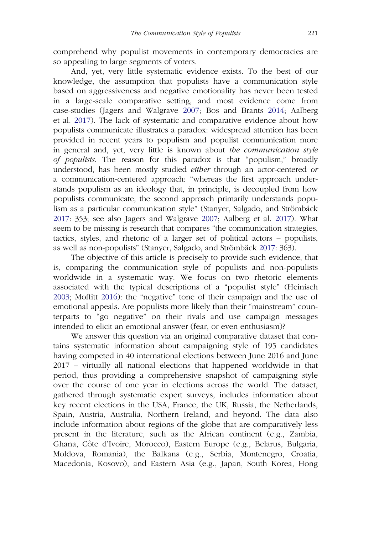<span id="page-3-0"></span>comprehend why populist movements in contemporary democracies are so appealing to large segments of voters.

And, yet, very little systematic evidence exists. To the best of our knowledge, the assumption that populists have a communication style based on aggressiveness and negative emotionality has never been tested in a large-scale comparative setting, and most evidence come from case-studies (Jagers and Walgrave [2007;](#page-28-0) Bos and Brants [2014](#page-26-0); Aalberg et al. [2017](#page-25-0)). The lack of systematic and comparative evidence about how populists communicate illustrates a paradox: widespread attention has been provided in recent years to populism and populist communication more in general and, yet, very little is known about the communication style of populists. The reason for this paradox is that "populism," broadly understood, has been mostly studied either through an actor-centered or a communication-centered approach: "whereas the first approach understands populism as an ideology that, in principle, is decoupled from how populists communicate, the second approach primarily understands populism as a particular communication style" (Stanyer, Salgado, and Strömbäck [2017](#page-31-0): 353; see also Jagers and Walgrave [2007](#page-28-0); Aalberg et al. [2017](#page-25-0)). What seem to be missing is research that compares "the communication strategies, tactics, styles, and rhetoric of a larger set of political actors – populists, as well as non-populists" (Stanyer, Salgado, and Strömbäck [2017:](#page-31-0) 363).

The objective of this article is precisely to provide such evidence, that is, comparing the communication style of populists and non-populists worldwide in a systematic way. We focus on two rhetoric elements associated with the typical descriptions of a "populist style" (Heinisch [2003;](#page-28-0) Moffitt [2016](#page-29-0)): the "negative" tone of their campaign and the use of emotional appeals. Are populists more likely than their "mainstream" counterparts to "go negative" on their rivals and use campaign messages intended to elicit an emotional answer (fear, or even enthusiasm)?

We answer this question via an original comparative dataset that contains systematic information about campaigning style of 195 candidates having competed in 40 international elections between June 2016 and June 2017 – virtually all national elections that happened worldwide in that period, thus providing a comprehensive snapshot of campaigning style over the course of one year in elections across the world. The dataset, gathered through systematic expert surveys, includes information about key recent elections in the USA, France, the UK, Russia, the Netherlands, Spain, Austria, Australia, Northern Ireland, and beyond. The data also include information about regions of the globe that are comparatively less present in the literature, such as the African continent (e.g., Zambia, Ghana, Côte d'Ivoire, Morocco), Eastern Europe (e.g., Belarus, Bulgaria, Moldova, Romania), the Balkans (e.g., Serbia, Montenegro, Croatia, Macedonia, Kosovo), and Eastern Asia (e.g., Japan, South Korea, Hong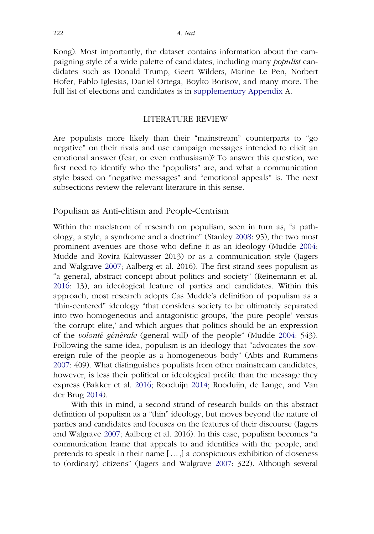<span id="page-4-0"></span>Kong). Most importantly, the dataset contains information about the campaigning style of a wide palette of candidates, including many populist candidates such as Donald Trump, Geert Wilders, Marine Le Pen, Norbert Hofer, Pablo Iglesias, Daniel Ortega, Boyko Borisov, and many more. The full list of elections and candidates is in [supplementary Appendix](https://doi.org/10.1080/15377857.2018.1491439) A.

#### LITERATURE REVIEW

Are populists more likely than their "mainstream" counterparts to "go negative" on their rivals and use campaign messages intended to elicit an emotional answer (fear, or even enthusiasm)? To answer this question, we first need to identify who the "populists" are, and what a communication style based on "negative messages" and "emotional appeals" is. The next subsections review the relevant literature in this sense.

#### Populism as Anti-elitism and People-Centrism

Within the maelstrom of research on populism, seen in turn as, "a pathology, a style, a syndrome and a doctrine" (Stanley [2008:](#page-31-0) 95), the two most prominent avenues are those who define it as an ideology (Mudde [2004;](#page-30-0) Mudde and Rovira Kaltwasser 2013) or as a communication style (Jagers and Walgrave [2007](#page-28-0); Aalberg et al. 2016). The first strand sees populism as "a general, abstract concept about politics and society" (Reinemann et al. [2016:](#page-30-0) 13), an ideological feature of parties and candidates. Within this approach, most research adopts Cas Mudde's definition of populism as a "thin-centered" ideology "that considers society to be ultimately separated into two homogeneous and antagonistic groups, 'the pure people' versus 'the corrupt elite,' and which argues that politics should be an expression of the volonté générale (general will) of the people" (Mudde [2004](#page-30-0): 543). Following the same idea, populism is an ideology that "advocates the sovereign rule of the people as a homogeneous body" (Abts and Rummens [2007:](#page-25-0) 409). What distinguishes populists from other mainstream candidates, however, is less their political or ideological profile than the message they express (Bakker et al. [2016;](#page-26-0) Rooduijn [2014;](#page-31-0) Rooduijn, de Lange, and Van der Brug [2014](#page-31-0)).

With this in mind, a second strand of research builds on this abstract definition of populism as a "thin" ideology, but moves beyond the nature of parties and candidates and focuses on the features of their discourse (Jagers and Walgrave [2007;](#page-28-0) Aalberg et al. 2016). In this case, populism becomes "a communication frame that appeals to and identifies with the people, and pretends to speak in their name […,] a conspicuous exhibition of closeness to (ordinary) citizens" (Jagers and Walgrave [2007:](#page-28-0) 322). Although several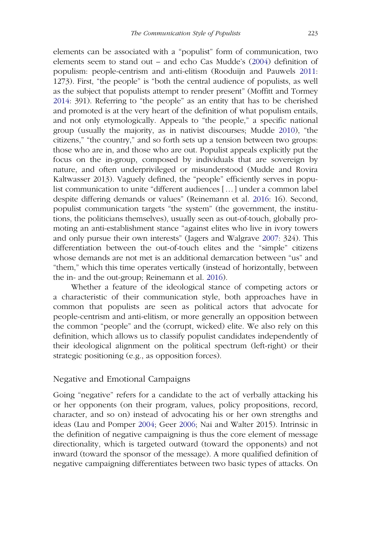<span id="page-5-0"></span>elements can be associated with a "populist" form of communication, two elements seem to stand out – and echo Cas Mudde's [\(2004](#page-30-0)) definition of populism: people-centrism and anti-elitism (Rooduijn and Pauwels [2011:](#page-31-0) 1273). First, "the people" is "both the central audience of populists, as well as the subject that populists attempt to render present" (Moffitt and Tormey [2014](#page-29-0): 391). Referring to "the people" as an entity that has to be cherished and promoted is at the very heart of the definition of what populism entails, and not only etymologically. Appeals to "the people," a specific national group (usually the majority, as in nativist discourses; Mudde [2010](#page-30-0)), "the citizens," "the country," and so forth sets up a tension between two groups: those who are in, and those who are out. Populist appeals explicitly put the focus on the in-group, composed by individuals that are sovereign by nature, and often underprivileged or misunderstood (Mudde and Rovira Kaltwasser 2013). Vaguely defined, the "people" efficiently serves in populist communication to unite "different audiences […] under a common label despite differing demands or values" (Reinemann et al. [2016](#page-30-0): 16). Second, populist communication targets "the system" (the government, the institutions, the politicians themselves), usually seen as out-of-touch, globally promoting an anti-establishment stance "against elites who live in ivory towers and only pursue their own interests" (Jagers and Walgrave [2007](#page-28-0): 324). This differentiation between the out-of-touch elites and the "simple" citizens whose demands are not met is an additional demarcation between "us" and "them," which this time operates vertically (instead of horizontally, between the in- and the out-group; Reinemann et al. [2016](#page-30-0)).

Whether a feature of the ideological stance of competing actors or a characteristic of their communication style, both approaches have in common that populists are seen as political actors that advocate for people-centrism and anti-elitism, or more generally an opposition between the common "people" and the (corrupt, wicked) elite. We also rely on this definition, which allows us to classify populist candidates independently of their ideological alignment on the political spectrum (left-right) or their strategic positioning (e.g., as opposition forces).

#### Negative and Emotional Campaigns

Going "negative" refers for a candidate to the act of verbally attacking his or her opponents (on their program, values, policy propositions, record, character, and so on) instead of advocating his or her own strengths and ideas (Lau and Pomper [2004](#page-29-0); Geer [2006](#page-28-0); Nai and Walter 2015). Intrinsic in the definition of negative campaigning is thus the core element of message directionality, which is targeted outward (toward the opponents) and not inward (toward the sponsor of the message). A more qualified definition of negative campaigning differentiates between two basic types of attacks. On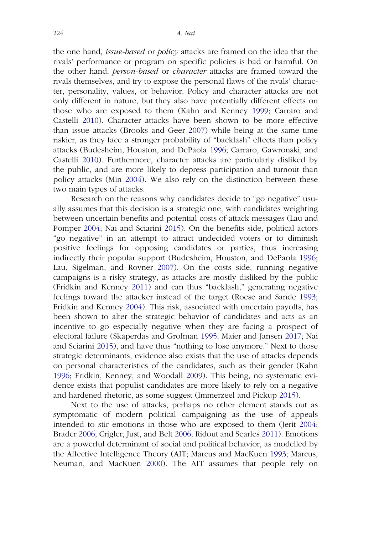<span id="page-6-0"></span>the one hand, issue-based or policy attacks are framed on the idea that the rivals' performance or program on specific policies is bad or harmful. On the other hand, person-based or character attacks are framed toward the rivals themselves, and try to expose the personal flaws of the rivals' character, personality, values, or behavior. Policy and character attacks are not only different in nature, but they also have potentially different effects on those who are exposed to them (Kahn and Kenney [1999;](#page-28-0) Carraro and Castelli [2010\)](#page-26-0). Character attacks have been shown to be more effective than issue attacks (Brooks and Geer [2007](#page-26-0)) while being at the same time riskier, as they face a stronger probability of "backlash" effects than policy attacks (Budesheim, Houston, and DePaola [1996;](#page-26-0) Carraro, Gawronski, and Castelli [2010\)](#page-26-0). Furthermore, character attacks are particularly disliked by the public, and are more likely to depress participation and turnout than policy attacks (Min [2004\)](#page-29-0). We also rely on the distinction between these two main types of attacks.

Research on the reasons why candidates decide to "go negative" usually assumes that this decision is a strategic one, with candidates weighting between uncertain benefits and potential costs of attack messages (Lau and Pomper [2004;](#page-29-0) Nai and Sciarini [2015\)](#page-30-0). On the benefits side, political actors "go negative" in an attempt to attract undecided voters or to diminish positive feelings for opposing candidates or parties, thus increasing indirectly their popular support (Budesheim, Houston, and DePaola [1996;](#page-26-0) Lau, Sigelman, and Rovner [2007](#page-29-0)). On the costs side, running negative campaigns is a risky strategy, as attacks are mostly disliked by the public (Fridkin and Kenney [2011\)](#page-27-0) and can thus "backlash," generating negative feelings toward the attacker instead of the target (Roese and Sande [1993;](#page-31-0) Fridkin and Kenney [2004](#page-27-0)). This risk, associated with uncertain payoffs, has been shown to alter the strategic behavior of candidates and acts as an incentive to go especially negative when they are facing a prospect of electoral failure (Skaperdas and Grofman [1995](#page-31-0); Maier and Jansen [2017](#page-29-0); Nai and Sciarini [2015\)](#page-30-0), and have thus "nothing to lose anymore." Next to those strategic determinants, evidence also exists that the use of attacks depends on personal characteristics of the candidates, such as their gender (Kahn [1996;](#page-28-0) Fridkin, Kenney, and Woodall [2009\)](#page-27-0). This being, no systematic evidence exists that populist candidates are more likely to rely on a negative and hardened rhetoric, as some suggest (Immerzeel and Pickup [2015](#page-28-0)).

Next to the use of attacks, perhaps no other element stands out as symptomatic of modern political campaigning as the use of appeals intended to stir emotions in those who are exposed to them (Jerit [2004;](#page-28-0) Brader [2006](#page-26-0); Crigler, Just, and Belt [2006](#page-27-0); Ridout and Searles [2011\)](#page-31-0). Emotions are a powerful determinant of social and political behavior, as modelled by the Affective Intelligence Theory (AIT; Marcus and MacKuen [1993;](#page-29-0) Marcus, Neuman, and MacKuen [2000\)](#page-29-0). The AIT assumes that people rely on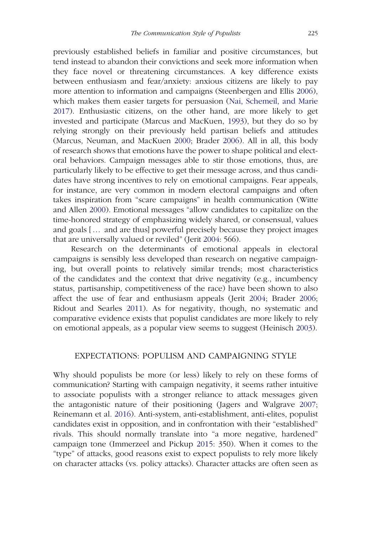<span id="page-7-0"></span>previously established beliefs in familiar and positive circumstances, but tend instead to abandon their convictions and seek more information when they face novel or threatening circumstances. A key difference exists between enthusiasm and fear/anxiety: anxious citizens are likely to pay more attention to information and campaigns (Steenbergen and Ellis [2006\)](#page-31-0), which makes them easier targets for persuasion ([Nai, Schemeil, and Marie](#page-30-0) [2017\)](#page-30-0). Enthusiastic citizens, on the other hand, are more likely to get invested and participate (Marcus and MacKuen, [1993\)](#page-29-0), but they do so by relying strongly on their previously held partisan beliefs and attitudes (Marcus, Neuman, and MacKuen [2000;](#page-29-0) Brader [2006](#page-26-0)). All in all, this body of research shows that emotions have the power to shape political and electoral behaviors. Campaign messages able to stir those emotions, thus, are particularly likely to be effective to get their message across, and thus candidates have strong incentives to rely on emotional campaigns. Fear appeals, for instance, are very common in modern electoral campaigns and often takes inspiration from "scare campaigns" in health communication (Witte and Allen [2000](#page-32-0)). Emotional messages "allow candidates to capitalize on the time-honored strategy of emphasizing widely shared, or consensual, values and goals [ … and are thus] powerful precisely because they project images that are universally valued or reviled" (Jerit [2004:](#page-28-0) 566).

Research on the determinants of emotional appeals in electoral campaigns is sensibly less developed than research on negative campaigning, but overall points to relatively similar trends; most characteristics of the candidates and the context that drive negativity (e.g., incumbency status, partisanship, competitiveness of the race) have been shown to also affect the use of fear and enthusiasm appeals (Jerit [2004;](#page-28-0) Brader [2006;](#page-26-0) Ridout and Searles [2011\)](#page-31-0). As for negativity, though, no systematic and comparative evidence exists that populist candidates are more likely to rely on emotional appeals, as a popular view seems to suggest (Heinisch [2003\)](#page-28-0).

#### EXPECTATIONS: POPULISM AND CAMPAIGNING STYLE

Why should populists be more (or less) likely to rely on these forms of communication? Starting with campaign negativity, it seems rather intuitive to associate populists with a stronger reliance to attack messages given the antagonistic nature of their positioning (Jagers and Walgrave [2007;](#page-28-0) Reinemann et al. [2016](#page-30-0)). Anti-system, anti-establishment, anti-elites, populist candidates exist in opposition, and in confrontation with their "established" rivals. This should normally translate into "a more negative, hardened" campaign tone (Immerzeel and Pickup [2015:](#page-28-0) 350). When it comes to the "type" of attacks, good reasons exist to expect populists to rely more likely on character attacks (vs. policy attacks). Character attacks are often seen as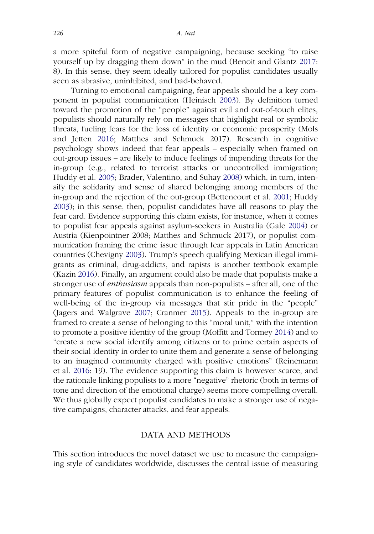<span id="page-8-0"></span>a more spiteful form of negative campaigning, because seeking "to raise yourself up by dragging them down" in the mud (Benoit and Glantz [2017:](#page-26-0) 8). In this sense, they seem ideally tailored for populist candidates usually seen as abrasive, uninhibited, and bad-behaved.

Turning to emotional campaigning, fear appeals should be a key component in populist communication (Heinisch [2003\)](#page-28-0). By definition turned toward the promotion of the "people" against evil and out-of-touch elites, populists should naturally rely on messages that highlight real or symbolic threats, fueling fears for the loss of identity or economic prosperity (Mols and Jetten [2016](#page-30-0); Matthes and Schmuck 2017). Research in cognitive psychology shows indeed that fear appeals – especially when framed on out-group issues – are likely to induce feelings of impending threats for the in-group (e.g., related to terrorist attacks or uncontrolled immigration; Huddy et al. [2005](#page-28-0); Brader, Valentino, and Suhay [2008](#page-26-0)) which, in turn, intensify the solidarity and sense of shared belonging among members of the in-group and the rejection of the out-group (Bettencourt et al. [2001](#page-26-0); Huddy [2003\)](#page-28-0); in this sense, then, populist candidates have all reasons to play the fear card. Evidence supporting this claim exists, for instance, when it comes to populist fear appeals against asylum-seekers in Australia (Gale [2004\)](#page-28-0) or Austria (Kienpointner 2008; Matthes and Schmuck 2017), or populist communication framing the crime issue through fear appeals in Latin American countries (Chevigny [2003\)](#page-26-0). Trump's speech qualifying Mexican illegal immigrants as criminal, drug-addicts, and rapists is another textbook example (Kazin [2016\)](#page-28-0). Finally, an argument could also be made that populists make a stronger use of *enthusiasm* appeals than non-populists – after all, one of the primary features of populist communication is to enhance the feeling of well-being of the in-group via messages that stir pride in the "people" (Jagers and Walgrave [2007;](#page-28-0) Cranmer [2015](#page-27-0)). Appeals to the in-group are framed to create a sense of belonging to this "moral unit," with the intention to promote a positive identity of the group (Moffitt and Tormey [2014\)](#page-29-0) and to "create a new social identify among citizens or to prime certain aspects of their social identity in order to unite them and generate a sense of belonging to an imagined community charged with positive emotions" (Reinemann et al. [2016:](#page-30-0) 19). The evidence supporting this claim is however scarce, and the rationale linking populists to a more "negative" rhetoric (both in terms of tone and direction of the emotional charge) seems more compelling overall. We thus globally expect populist candidates to make a stronger use of negative campaigns, character attacks, and fear appeals.

#### DATA AND METHODS

This section introduces the novel dataset we use to measure the campaigning style of candidates worldwide, discusses the central issue of measuring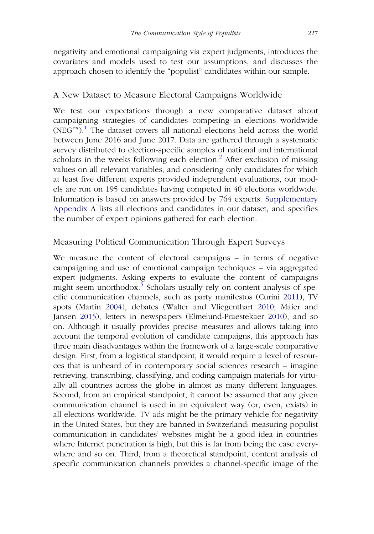<span id="page-9-0"></span>negativity and emotional campaigning via expert judgments, introduces the covariates and models used to test our assumptions, and discusses the approach chosen to identify the "populist" candidates within our sample.

## A New Dataset to Measure Electoral Campaigns Worldwide

We test our expectations through a new comparative dataset about campaigning strategies of candidates competing in elections worldwide (NEGex)[.1](#page-24-0) The dataset covers all national elections held across the world between June 2016 and June 2017. Data are gathered through a systematic survey distributed to election-specific samples of national and international scholars in the weeks following each election.<sup>2</sup> After exclusion of missing values on all relevant variables, and considering only candidates for which at least five different experts provided independent evaluations, our models are run on 195 candidates having competed in 40 elections worldwide. Information is based on answers provided by 764 experts. [Supplementary](https://doi.org/10.1080/15377857.2018.1491439) [Appendix](https://doi.org/10.1080/15377857.2018.1491439) A lists all elections and candidates in our dataset, and specifies the number of expert opinions gathered for each election.

# Measuring Political Communication Through Expert Surveys

We measure the content of electoral campaigns – in terms of negative campaigning and use of emotional campaign techniques – via aggregated expert judgments. Asking experts to evaluate the content of campaigns might seem unorthodox.<sup>3</sup> Scholars usually rely on content analysis of specific communication channels, such as party manifestos (Curini [2011\)](#page-27-0), TV spots (Martin [2004](#page-29-0)), debates (Walter and Vliegenthart [2010](#page-31-0); Maier and Jansen [2015\)](#page-29-0), letters in newspapers (Elmelund-Praestekaer [2010\)](#page-27-0), and so on. Although it usually provides precise measures and allows taking into account the temporal evolution of candidate campaigns, this approach has three main disadvantages within the framework of a large-scale comparative design. First, from a logistical standpoint, it would require a level of resources that is unheard of in contemporary social sciences research – imagine retrieving, transcribing, classifying, and coding campaign materials for virtually all countries across the globe in almost as many different languages. Second, from an empirical standpoint, it cannot be assumed that any given communication channel is used in an equivalent way (or, even, exists) in all elections worldwide. TV ads might be the primary vehicle for negativity in the United States, but they are banned in Switzerland; measuring populist communication in candidates' websites might be a good idea in countries where Internet penetration is high, but this is far from being the case everywhere and so on. Third, from a theoretical standpoint, content analysis of specific communication channels provides a channel-specific image of the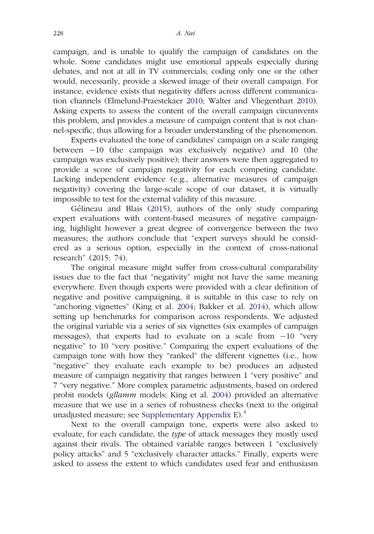<span id="page-10-0"></span>campaign, and is unable to qualify the campaign of candidates on the whole. Some candidates might use emotional appeals especially during debates, and not at all in TV commercials; coding only one or the other would, necessarily, provide a skewed image of their overall campaign. For instance, evidence exists that negativity differs across different communication channels (Elmelund-Praestekaer [2010](#page-27-0); Walter and Vliegenthart [2010\)](#page-31-0). Asking experts to assess the content of the overall campaign circumvents this problem, and provides a measure of campaign content that is not channel-specific, thus allowing for a broader understanding of the phenomenon.

Experts evaluated the tone of candidates' campaign on a scale ranging between  $-10$  (the campaign was exclusively negative) and 10 (the campaign was exclusively positive); their answers were then aggregated to provide a score of campaign negativity for each competing candidate. Lacking independent evidence (e.g., alternative measures of campaign negativity) covering the large-scale scope of our dataset, it is virtually impossible to test for the external validity of this measure.

Gélineau and Blais ([2015\)](#page-28-0), authors of the only study comparing expert evaluations with content-based measures of negative campaigning, highlight however a great degree of convergence between the two measures; the authors conclude that "expert surveys should be considered as a serious option, especially in the context of cross-national research" (2015: 74).

The original measure might suffer from cross-cultural comparability issues due to the fact that "negativity" might not have the same meaning everywhere. Even though experts were provided with a clear definition of negative and positive campaigning, it is suitable in this case to rely on "anchoring vignettes" (King et al. [2004;](#page-29-0) Bakker et al. [2014](#page-26-0)), which allow setting up benchmarks for comparison across respondents. We adjusted the original variable via a series of six vignettes (six examples of campaign messages), that experts had to evaluate on a scale from  $-10$  "very negative" to 10 "very positive." Comparing the expert evaluations of the campaign tone with how they "ranked" the different vignettes (i.e., how "negative" they evaluate each example to be) produces an adjusted measure of campaign negativity that ranges between 1 "very positive" and 7 "very negative." More complex parametric adjustments, based on ordered probit models (gllamm models; King et al. [2004\)](#page-29-0) provided an alternative measure that we use in a series of robustness checks (next to the original unadjusted measure; see [Supplementary Appendix](https://doi.org/10.1080/15377857.2018.1491439) E).<sup>[4](#page-24-0)</sup>

Next to the overall campaign tone, experts were also asked to evaluate, for each candidate, the type of attack messages they mostly used against their rivals. The obtained variable ranges between 1 "exclusively policy attacks" and 5 "exclusively character attacks." Finally, experts were asked to assess the extent to which candidates used fear and enthusiasm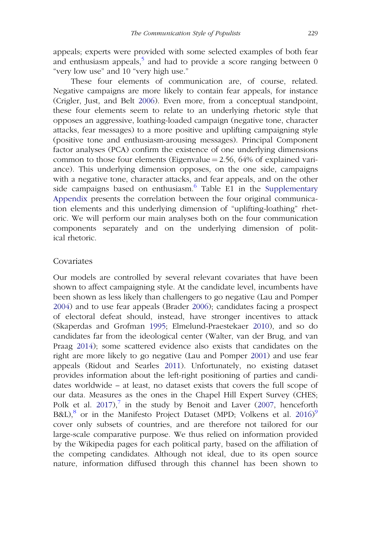<span id="page-11-0"></span>appeals; experts were provided with some selected examples of both fear and enthusiasm appeals,<sup>[5](#page-24-0)</sup> and had to provide a score ranging between 0 "very low use" and 10 "very high use."

These four elements of communication are, of course, related. Negative campaigns are more likely to contain fear appeals, for instance (Crigler, Just, and Belt [2006](#page-27-0)). Even more, from a conceptual standpoint, these four elements seem to relate to an underlying rhetoric style that opposes an aggressive, loathing-loaded campaign (negative tone, character attacks, fear messages) to a more positive and uplifting campaigning style (positive tone and enthusiasm-arousing messages). Principal Component factor analyses (PCA) confirm the existence of one underlying dimensions common to those four elements (Eigenvalue  $=$  2.56, 64% of explained variance). This underlying dimension opposes, on the one side, campaigns with a negative tone, character attacks, and fear appeals, and on the other side campaigns based on enthusiasm.<sup>[6](#page-24-0)</sup> Table E1 in the [Supplementary](https://doi.org/10.1080/15377857.2018.1491439) [Appendix](https://doi.org/10.1080/15377857.2018.1491439) presents the correlation between the four original communication elements and this underlying dimension of "uplifting-loathing" rhetoric. We will perform our main analyses both on the four communication components separately and on the underlying dimension of political rhetoric.

#### Covariates

Our models are controlled by several relevant covariates that have been shown to affect campaigning style. At the candidate level, incumbents have been shown as less likely than challengers to go negative (Lau and Pomper [2004\)](#page-29-0) and to use fear appeals (Brader [2006\)](#page-26-0); candidates facing a prospect of electoral defeat should, instead, have stronger incentives to attack (Skaperdas and Grofman [1995](#page-31-0); Elmelund-Praestekaer [2010\)](#page-27-0), and so do candidates far from the ideological center (Walter, van der Brug, and van Praag [2014](#page-32-0)); some scattered evidence also exists that candidates on the right are more likely to go negative (Lau and Pomper [2001\)](#page-29-0) and use fear appeals (Ridout and Searles [2011\)](#page-31-0). Unfortunately, no existing dataset provides information about the left-right positioning of parties and candidates worldwide – at least, no dataset exists that covers the full scope of our data. Measures as the ones in the Chapel Hill Expert Survey (CHES; Polk et al. [2017\)](#page-30-0),<sup>7</sup> in the study by Benoit and Laver ([2007,](#page-26-0) henceforth B&L),<sup>[8](#page-25-0)</sup> or in the Manifesto Project Dataset (MPD; Volkens et al. [2016](#page-31-0))<sup>[9](#page-25-0)</sup> cover only subsets of countries, and are therefore not tailored for our large-scale comparative purpose. We thus relied on information provided by the Wikipedia pages for each political party, based on the affiliation of the competing candidates. Although not ideal, due to its open source nature, information diffused through this channel has been shown to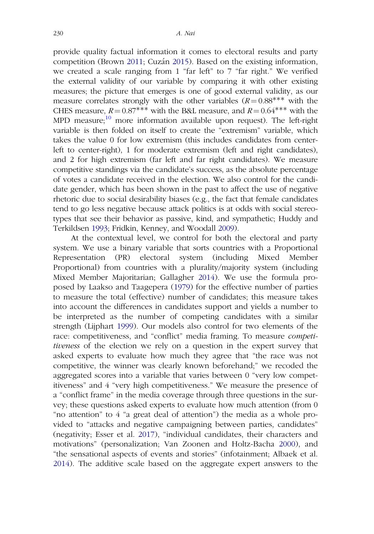<span id="page-12-0"></span>provide quality factual information it comes to electoral results and party competition (Brown [2011;](#page-26-0) Cuzán [2015](#page-27-0)). Based on the existing information, we created a scale ranging from 1 "far left" to 7 "far right." We verified the external validity of our variable by comparing it with other existing measures; the picture that emerges is one of good external validity, as our measure correlates strongly with the other variables  $(R = 0.88***$  with the CHES measure,  $R = 0.87***$  with the B&L measure, and  $R = 0.64***$  with the MPD measure; $^{10}$  $^{10}$  $^{10}$  more information available upon request). The left-right variable is then folded on itself to create the "extremism" variable, which takes the value 0 for low extremism (this includes candidates from centerleft to center-right), 1 for moderate extremism (left and right candidates), and 2 for high extremism (far left and far right candidates). We measure competitive standings via the candidate's success, as the absolute percentage of votes a candidate received in the election. We also control for the candidate gender, which has been shown in the past to affect the use of negative rhetoric due to social desirability biases (e.g., the fact that female candidates tend to go less negative because attack politics is at odds with social stereotypes that see their behavior as passive, kind, and sympathetic; Huddy and Terkildsen [1993;](#page-28-0) Fridkin, Kenney, and Woodall [2009](#page-27-0)).

At the contextual level, we control for both the electoral and party system. We use a binary variable that sorts countries with a Proportional Representation (PR) electoral system (including Mixed Member Proportional) from countries with a plurality/majority system (including Mixed Member Majoritarian; Gallagher [2014](#page-28-0)). We use the formula proposed by Laakso and Taagepera [\(1979](#page-29-0)) for the effective number of parties to measure the total (effective) number of candidates; this measure takes into account the differences in candidates support and yields a number to be interpreted as the number of competing candidates with a similar strength (Lijphart [1999\)](#page-29-0). Our models also control for two elements of the race: competitiveness, and "conflict" media framing. To measure competitiveness of the election we rely on a question in the expert survey that asked experts to evaluate how much they agree that "the race was not competitive, the winner was clearly known beforehand;" we recoded the aggregated scores into a variable that varies between 0 "very low competitiveness" and 4 "very high competitiveness." We measure the presence of a "conflict frame" in the media coverage through three questions in the survey; these questions asked experts to evaluate how much attention (from 0 "no attention" to 4 "a great deal of attention") the media as a whole provided to "attacks and negative campaigning between parties, candidates" (negativity; Esser et al. [2017](#page-27-0)), "individual candidates, their characters and motivations" (personalization; Van Zoonen and Holtz-Bacha [2000\)](#page-31-0), and "the sensational aspects of events and stories" (infotainment; Albaek et al. [2014\)](#page-25-0). The additive scale based on the aggregate expert answers to the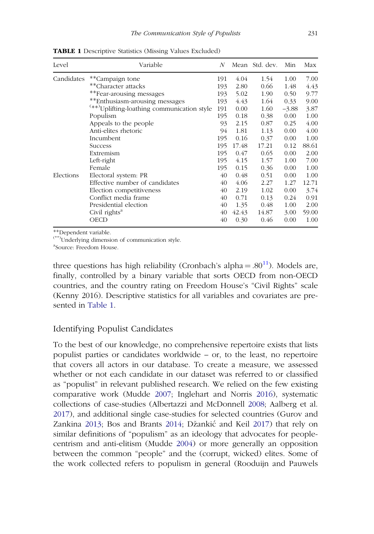| Level      | Variable                                   | N   | Mean  | Std. dev. | Min     | Max   |
|------------|--------------------------------------------|-----|-------|-----------|---------|-------|
| Candidates | **Campaign tone                            | 191 | 4.04  | 1.54      | 1.00    | 7.00  |
|            | **Character attacks                        | 193 | 2.80  | 0.66      | 1.48    | 4.43  |
|            | **Fear-arousing messages                   | 193 | 5.02  | 1.90      | 0.50    | 9.77  |
|            | **Enthusiasm-arousing messages             | 193 | 4.43  | 1.64      | 0.33    | 9.00  |
|            | (**)Uplifting-loathing communication style | 191 | 0.00  | 1.60      | $-3.88$ | 3.87  |
|            | Populism                                   | 195 | 0.18  | 0.38      | 0.00    | 1.00  |
|            | Appeals to the people                      | 93  | 2.15  | 0.87      | 0.25    | 4.00  |
|            | Anti-elites rhetoric                       | 94  | 1.81  | 1.13      | 0.00    | 4.00  |
|            | Incumbent                                  | 195 | 0.16  | 0.37      | 0.00    | 1.00  |
|            | Success                                    | 195 | 17.48 | 17.21     | 0.12    | 88.61 |
|            | Extremism                                  | 195 | 0.47  | 0.65      | 0.00    | 2.00  |
|            | Left-right                                 | 195 | 4.15  | 1.57      | 1.00    | 7.00  |
|            | Female                                     | 195 | 0.15  | 0.36      | 0.00    | 1.00  |
| Elections  | Electoral system: PR                       | 40  | 0.48  | 0.51      | 0.00    | 1.00  |
|            | Effective number of candidates             | 40  | 4.06  | 2.27      | 1.27    | 12.71 |
|            | Election competitiveness                   | 40  | 2.19  | 1.02      | 0.00    | 3.74  |
|            | Conflict media frame                       | 40  | 0.71  | 0.13      | 0.24    | 0.91  |
|            | Presidential election                      | 40  | 1.35  | 0.48      | 1.00    | 2.00  |
|            | Civil rights <sup>a</sup>                  | 40  | 42.43 | 14.87     | 3.00    | 59.00 |
|            | <b>OECD</b>                                | 40  | 0.30  | 0.46      | 0.00    | 1.00  |

<span id="page-13-0"></span>TABLE 1 Descriptive Statistics (Missing Values Excluded)

\*\*Dependent variable.

 $($ \*\*)Underlying dimension of communication style.

Source: Freedom House.

three questions has high reliability (Cronbach's alpha =  $.80^{11}$  $.80^{11}$  $.80^{11}$ ). Models are, finally, controlled by a binary variable that sorts OECD from non-OECD countries, and the country rating on Freedom House's "Civil Rights" scale (Kenny 2016). Descriptive statistics for all variables and covariates are presented in Table 1.

#### Identifying Populist Candidates

To the best of our knowledge, no comprehensive repertoire exists that lists populist parties or candidates worldwide – or, to the least, no repertoire that covers all actors in our database. To create a measure, we assessed whether or not each candidate in our dataset was referred to or classified as "populist" in relevant published research. We relied on the few existing comparative work (Mudde [2007;](#page-30-0) Inglehart and Norris [2016](#page-28-0)), systematic collections of case-studies (Albertazzi and McDonnell [2008](#page-25-0); Aalberg et al. [2017\)](#page-25-0), and additional single case-studies for selected countries (Gurov and Zankina [2013;](#page-28-0) Bos and Brants [2014;](#page-26-0) Džankić and Keil [2017](#page-27-0)) that rely on similar definitions of "populism" as an ideology that advocates for peoplecentrism and anti-elitism (Mudde [2004\)](#page-30-0) or more generally an opposition between the common "people" and the (corrupt, wicked) elites. Some of the work collected refers to populism in general (Rooduijn and Pauwels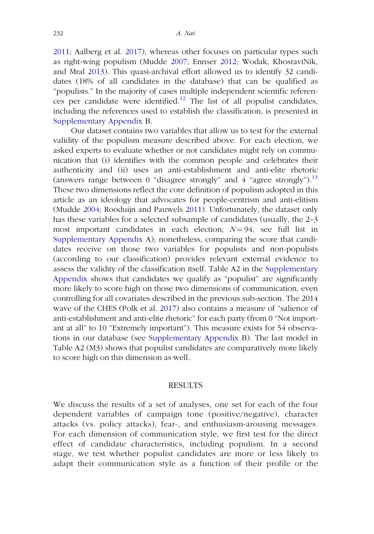<span id="page-14-0"></span>[2011;](#page-31-0) Aalberg et al. [2017\)](#page-25-0), whereas other focuses on particular types such as right-wing populism (Mudde [2007](#page-30-0); Ennser [2012;](#page-27-0) Wodak, KhosraviNik, and Mral [2013\)](#page-32-0). This quasi-archival effort allowed us to identify 32 candidates (18% of all candidates in the database) that can be qualified as "populists." In the majority of cases multiple independent scientific references per candidate were identified.[12](#page-25-0) The list of all populist candidates, including the references used to establish the classification, is presented in [Supplementary Appendix](https://doi.org/10.1080/15377857.2018.1491439) B.

Our dataset contains two variables that allow us to test for the external validity of the populism measure described above. For each election, we asked experts to evaluate whether or not candidates might rely on communication that (i) identifies with the common people and celebrates their authenticity and (ii) uses an anti-establishment and anti-elite rhetoric (answers range between 0 "disagree strongly" and 4 "agree strongly").<sup>13</sup> These two dimensions reflect the core definition of populism adopted in this article as an ideology that advocates for people-centrism and anti-elitism (Mudde [2004;](#page-30-0) Rooduijn and Pauwels [2011\)](#page-31-0). Unfortunately, the dataset only has these variables for a selected subsample of candidates (usually, the 2–3 most important candidates in each election;  $N = 94$ , see full list in [Supplementary Appendix](https://doi.org/10.1080/15377857.2018.1491439) A); nonetheless, comparing the score that candidates receive on those two variables for populists and non-populists (according to our classification) provides relevant external evidence to assess the validity of the classification itself. Table A2 in the [Supplementary](https://doi.org/10.1080/15377857.2018.1491439) [Appendix](https://doi.org/10.1080/15377857.2018.1491439) shows that candidates we qualify as "populist" are significantly more likely to score high on those two dimensions of communication, even controlling for all covariates described in the previous sub-section. The 2014 wave of the CHES (Polk et al. [2017](#page-30-0)) also contains a measure of "salience of anti-establishment and anti-elite rhetoric" for each party (from 0 "Not important at all" to 10 "Extremely important"). This measure exists for 54 observations in our database (see [Supplementary Appendix](https://doi.org/10.1080/15377857.2018.1491439) B). The last model in Table A2 (M3) shows that populist candidates are comparatively more likely to score high on this dimension as well.

#### RESULTS

We discuss the results of a set of analyses, one set for each of the four dependent variables of campaign tone (positive/negative), character attacks (vs. policy attacks), fear-, and enthusiasm-arousing messages. For each dimension of communication style, we first test for the direct effect of candidate characteristics, including populism. In a second stage, we test whether populist candidates are more or less likely to adapt their communication style as a function of their profile or the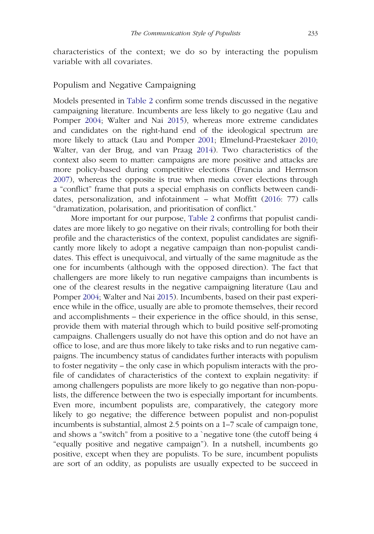<span id="page-15-0"></span>characteristics of the context; we do so by interacting the populism variable with all covariates.

### Populism and Negative Campaigning

Models presented in [Table 2](#page-16-0) confirm some trends discussed in the negative campaigning literature. Incumbents are less likely to go negative (Lau and Pomper [2004](#page-29-0); Walter and Nai [2015\)](#page-32-0), whereas more extreme candidates and candidates on the right-hand end of the ideological spectrum are more likely to attack (Lau and Pomper [2001;](#page-29-0) Elmelund-Praestekaer [2010;](#page-27-0) Walter, van der Brug, and van Praag [2014](#page-32-0)). Two characteristics of the context also seem to matter: campaigns are more positive and attacks are more policy-based during competitive elections (Francia and Herrnson [2007\)](#page-27-0), whereas the opposite is true when media cover elections through a "conflict" frame that puts a special emphasis on conflicts between candidates, personalization, and infotainment – what Moffitt [\(2016](#page-29-0): 77) calls "dramatization, polarisation, and prioritisation of conflict."

More important for our purpose, [Table 2](#page-16-0) confirms that populist candidates are more likely to go negative on their rivals; controlling for both their profile and the characteristics of the context, populist candidates are significantly more likely to adopt a negative campaign than non-populist candidates. This effect is unequivocal, and virtually of the same magnitude as the one for incumbents (although with the opposed direction). The fact that challengers are more likely to run negative campaigns than incumbents is one of the clearest results in the negative campaigning literature (Lau and Pomper [2004](#page-29-0); Walter and Nai [2015](#page-32-0)). Incumbents, based on their past experience while in the office, usually are able to promote themselves, their record and accomplishments – their experience in the office should, in this sense, provide them with material through which to build positive self-promoting campaigns. Challengers usually do not have this option and do not have an office to lose, and are thus more likely to take risks and to run negative campaigns. The incumbency status of candidates further interacts with populism to foster negativity – the only case in which populism interacts with the profile of candidates of characteristics of the context to explain negativity: if among challengers populists are more likely to go negative than non-populists, the difference between the two is especially important for incumbents. Even more, incumbent populists are, comparatively, the category more likely to go negative; the difference between populist and non-populist incumbents is substantial, almost 2.5 points on a 1–7 scale of campaign tone, and shows a "switch" from a positive to a `negative tone (the cutoff being 4 "equally positive and negative campaign"). In a nutshell, incumbents go positive, except when they are populists. To be sure, incumbent populists are sort of an oddity, as populists are usually expected to be succeed in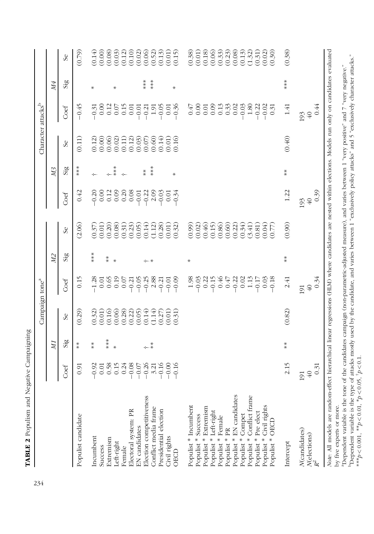<span id="page-16-0"></span>

|                                                                                                                                                                                       |                     |              |                      | Campaign tone <sup>a</sup> |             |                  |                 |                      |                  | Character attacks <sup>b</sup> |             |                  |
|---------------------------------------------------------------------------------------------------------------------------------------------------------------------------------------|---------------------|--------------|----------------------|----------------------------|-------------|------------------|-----------------|----------------------|------------------|--------------------------------|-------------|------------------|
|                                                                                                                                                                                       |                     | ИI           |                      |                            | <u>М2</u>   |                  |                 | M <sup>3</sup>       |                  |                                | M4          |                  |
|                                                                                                                                                                                       | Coef                | ${\rm Si}\,$ | $s$ e                | Coef                       | ${\rm Sig}$ | Se               | Coef            | Sig                  | $s$ e            | Coef                           | ${\rm Sig}$ | $s$ e            |
| Populist candidate                                                                                                                                                                    | 0.91                | $* \ast$     | (0.29)               | 0.15                       |             | (2.06)           | 0.42            | ***                  | (0.11)           | $-0.45$                        |             | (0.79)           |
| Incumbent<br>Success                                                                                                                                                                  | 0.92<br>0.01        | $*_*$        | $(0.32)$<br>$(0.01)$ | $-1.28$<br>0.01            | ***         | (0.37)<br>(0.01) | 0.20<br>0.00    |                      | (0.00)<br>(0.12) | 0.00<br>$-0.31$                | ⋇           | (0.00)<br>(0.14) |
| Extremism                                                                                                                                                                             | 0.58                | ***          | (0.16)               | 0.65                       | $* \ast$    | (0.20)           | 0.12            | ÷                    | (0.06)           | 0.12                           |             | (0.08)           |
| Left-right<br>Female                                                                                                                                                                  | 0.15<br>0.24        | $\ast$       | (0.06)<br>(0.28)     | 0.19<br>0.07               | $\star$     | (0.08)<br>(0.31) | 0.09<br>0.20    | ***<br>$+$           | (0.02)<br>(0.11) | 0.15<br>0.07                   | ₩           | (0.03)<br>(0.12) |
| Electoral system: PR                                                                                                                                                                  | $-0.08$             |              | (0.22)               | $-0.21$                    |             | (0.23)           | 0.08            |                      | (0.12)           | 0.01                           |             | (0.10)           |
| EN candidates                                                                                                                                                                         | $-0.26$<br>$-0.07$  |              | (0.05)               | $-0.05$                    |             | (0.05)<br>(0.14) | $-0.01$         | $\stackrel{*}{\ast}$ | (0.03)           | $-0.01$<br>$-0.21$             | $***$       | (0.02)<br>(0.06) |
| Election competitiveness<br>Conflict media frame                                                                                                                                      | 3.21                | $++$         | (0.14)<br>(1.14)     | 2.88<br>$-0.25$            | $+$ $*$     | (1.12)           | 2.09<br>$-0.22$ | ***                  | (0.60)<br>(0.07) | 1.91                           | ***         | (0.52)           |
| Presidential election                                                                                                                                                                 | $-0.16$             |              | (0.27)               | $-0.21$                    |             | (0.28)           | $-0.03$         |                      | (0.14)           | $-0.05$                        |             | (0.13)           |
| Givil rights<br>OECD                                                                                                                                                                  | $-0.00$<br>$-0.16$  |              | (0.01)<br>(0.31)     | $-0.09$<br>$-0.01$         |             | (0.01)<br>(0.32) | $-0.34$<br>0.01 | $\star$              | (0.01)<br>(0.16) | 0.36<br>0.01                   | $\star$     | (0.01)<br>(0.15) |
| Populist * Incumbent                                                                                                                                                                  |                     |              |                      | 1.98                       | ⋇           | (0.99)           |                 |                      |                  | 0.47                           |             | (0.38)           |
| Populist * Success                                                                                                                                                                    |                     |              |                      | $-0.03$                    |             | (0.02)           |                 |                      |                  | 0.00                           |             | (0.01)           |
| Populist * Extremism<br>Populist * Left-right                                                                                                                                         |                     |              |                      | 0.22<br>$-0.15$            |             | (0.46)<br>(0.15) |                 |                      |                  | 0.09<br>0.01                   |             | (0.18)<br>(0.06) |
| Populist * Female                                                                                                                                                                     |                     |              |                      | 0.46                       |             | (0.86)           |                 |                      |                  | 0.13                           |             | (0.33)           |
| Populist * PR                                                                                                                                                                         |                     |              |                      | 0.47                       |             | (0.60)           |                 |                      |                  | 0.33                           |             | (0.23)           |
| Populist * EN candidates                                                                                                                                                              |                     |              |                      | $-0.22$                    |             | (0.22)           |                 |                      |                  | 0.02                           |             | (0.08)           |
| Populist * Compet                                                                                                                                                                     |                     |              |                      | 0.02                       |             | (0.34)           |                 |                      |                  | $-0.03$                        |             | (0.13)           |
| Conflict frame<br>Populist * Pre elect<br>Populist <sup>*</sup>                                                                                                                       |                     |              |                      | 1.13<br>$-0.17$            |             | (3.41)<br>(0.81) |                 |                      |                  | $1.80\,$<br>$-0.22$            |             | (1.32)<br>(0.31) |
| Populist * Civil rights                                                                                                                                                               |                     |              |                      | 0.03                       |             | (0.04)           |                 |                      |                  | $-0.02$                        |             | (0.02)           |
| Populist * OECD                                                                                                                                                                       |                     |              |                      | $-0.18$                    |             | (0.77)           |                 |                      |                  | 0.31                           |             | (0.30)           |
| Intercept                                                                                                                                                                             | 2.15                | $* \ast$     | (0.82)               | 2.41                       | $* *$       | (0.90)           | 1.22            | $* \ast$             | (0.40)           | 1.41                           | ***         | (0.38)           |
| <b>M</b> candidates)                                                                                                                                                                  | 191                 |              |                      | 191                        |             |                  | 193             |                      |                  | 193                            |             |                  |
| $M_{\rm{e}}$ elections)<br>$R^2$                                                                                                                                                      | 0.31<br>$\sqrt{40}$ |              |                      | 0.34<br>$40\,$             |             |                  | 0.39<br>$40$    |                      |                  | 0.44                           |             |                  |
| Note: All models are random-effect hierarchical linear regressions (HLM) where candidates are nested within elections. Models run only on candidates evaluated                        |                     |              |                      |                            |             |                  |                 |                      |                  |                                |             |                  |
| "Dependent variable is the tone of the candidates campaign (non-parametric-adjusted measure), and varies between 1 "very positive" and 7 "very negative."<br>by five experts or more. |                     |              |                      |                            |             |                  |                 |                      |                  |                                |             |                  |
| "Dependent variable is the type of attacks mostly used by the candidate, and varies between 1 "exclusively policy attacks" and 5 "exclusively character attacks."                     |                     |              |                      |                            |             |                  |                 |                      |                  |                                |             |                  |
| *** $p < 0.001$ , ** $p < 0.01$ , * $p < 0.05$ , $\frac{1}{l}p < 0.1$                                                                                                                 |                     |              |                      |                            |             |                  |                 |                      |                  |                                |             |                  |

234

TABLE 2 Populism and Negative Campaigning

TABLE 2 Populism and Negative Campaigning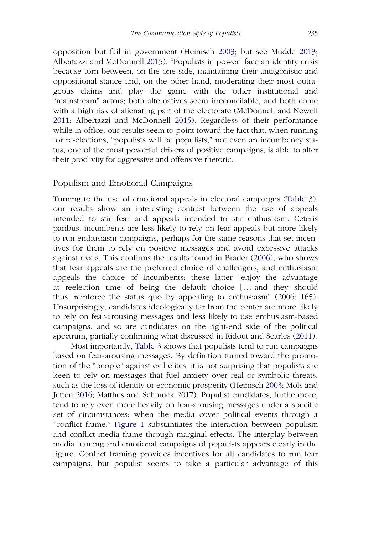<span id="page-17-0"></span>opposition but fail in government (Heinisch [2003](#page-28-0); but see Mudde [2013;](#page-30-0) Albertazzi and McDonnell [2015](#page-25-0)). "Populists in power" face an identity crisis because torn between, on the one side, maintaining their antagonistic and oppositional stance and, on the other hand, moderating their most outrageous claims and play the game with the other institutional and "mainstream" actors; both alternatives seem irreconcilable, and both come with a high risk of alienating part of the electorate (McDonnell and Newell [2011;](#page-29-0) Albertazzi and McDonnell [2015\)](#page-25-0). Regardless of their performance while in office, our results seem to point toward the fact that, when running for re-elections, "populists will be populists;" not even an incumbency status, one of the most powerful drivers of positive campaigns, is able to alter their proclivity for aggressive and offensive rhetoric.

### Populism and Emotional Campaigns

Turning to the use of emotional appeals in electoral campaigns ([Table 3\)](#page-18-0), our results show an interesting contrast between the use of appeals intended to stir fear and appeals intended to stir enthusiasm. Ceteris paribus, incumbents are less likely to rely on fear appeals but more likely to run enthusiasm campaigns, perhaps for the same reasons that set incentives for them to rely on positive messages and avoid excessive attacks against rivals. This confirms the results found in Brader ([2006\)](#page-26-0), who shows that fear appeals are the preferred choice of challengers, and enthusiasm appeals the choice of incumbents; these latter "enjoy the advantage at reelection time of being the default choice [ … and they should thus] reinforce the status quo by appealing to enthusiasm" (2006: 165). Unsurprisingly, candidates ideologically far from the center are more likely to rely on fear-arousing messages and less likely to use enthusiasm-based campaigns, and so are candidates on the right-end side of the political spectrum, partially confirming what discussed in Ridout and Searles ([2011\)](#page-31-0).

Most importantly, [Table 3](#page-18-0) shows that populists tend to run campaigns based on fear-arousing messages. By definition turned toward the promotion of the "people" against evil elites, it is not surprising that populists are keen to rely on messages that fuel anxiety over real or symbolic threats, such as the loss of identity or economic prosperity (Heinisch [2003;](#page-28-0) Mols and Jetten [2016](#page-30-0); Matthes and Schmuck 2017). Populist candidates, furthermore, tend to rely even more heavily on fear-arousing messages under a specific set of circumstances: when the media cover political events through a "conflict frame." Figure 1 substantiates the interaction between populism and conflict media frame through marginal effects. The interplay between media framing and emotional campaigns of populists appears clearly in the figure. Conflict framing provides incentives for all candidates to run fear campaigns, but populist seems to take a particular advantage of this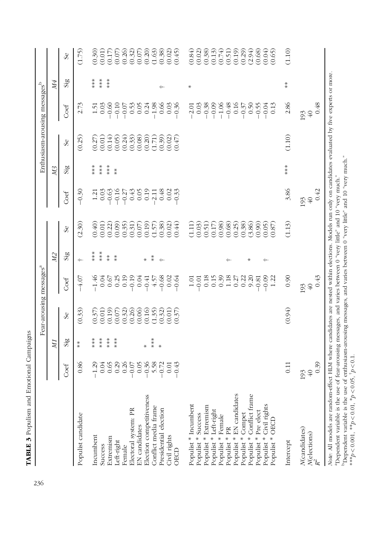<span id="page-18-0"></span>

|                                                                                                                                                                                                                                                                                                                                                                                         |                                                         |                            |                                                                    | Fear-arousing messages <sup>a</sup>                                                                   |                                          |                                                                                                                       |                                                               |                                             |                                                                    | Enthusiasm-arousing messages <sup>b</sup>                                                                            |                         |                                                                                                                        |
|-----------------------------------------------------------------------------------------------------------------------------------------------------------------------------------------------------------------------------------------------------------------------------------------------------------------------------------------------------------------------------------------|---------------------------------------------------------|----------------------------|--------------------------------------------------------------------|-------------------------------------------------------------------------------------------------------|------------------------------------------|-----------------------------------------------------------------------------------------------------------------------|---------------------------------------------------------------|---------------------------------------------|--------------------------------------------------------------------|----------------------------------------------------------------------------------------------------------------------|-------------------------|------------------------------------------------------------------------------------------------------------------------|
|                                                                                                                                                                                                                                                                                                                                                                                         |                                                         | MІ                         |                                                                    |                                                                                                       | M <sup>2</sup>                           |                                                                                                                       |                                                               | M <sub>3</sub>                              |                                                                    |                                                                                                                      | M4                      |                                                                                                                        |
|                                                                                                                                                                                                                                                                                                                                                                                         | Coef                                                    | Sig                        | $s$ e                                                              | Coef                                                                                                  | Si <sub>g</sub>                          | $s$ e                                                                                                                 | Coef                                                          | Sig                                         | $s$ e                                                              | Coef                                                                                                                 | $\mathrm{Si}\mathrm{g}$ | $s$ e                                                                                                                  |
| Populist candidate                                                                                                                                                                                                                                                                                                                                                                      | 0.86                                                    | $*$                        | (0.33)                                                             | $-4.07$                                                                                               | $+$                                      | (2.30)                                                                                                                | $-0.30$                                                       |                                             | (0.25)                                                             | 2.73                                                                                                                 |                         | (1.75)                                                                                                                 |
| Electoral system: PR<br>EN candidates<br>Incumbent<br>Extremism<br>Left-right<br>Success<br>Female                                                                                                                                                                                                                                                                                      | 0.29<br>0.26<br>0.05<br>1.29<br>0.04<br>0.65<br>$-0.07$ | ***<br>***<br>***<br>$***$ | (0.26)<br>(0.06)<br>(0.19)<br>(0.07)<br>(0.32)<br>(0.37)<br>(0.01) | 0.04<br>0.19<br>$-0.19$<br>$-1.46$<br>0.67<br>0.25<br>0.04                                            | $***$<br>***<br>$\stackrel{*}{*}$<br>$*$ | (0.40)<br>(0.01)<br>(0.09)<br>(0.35)<br>(0.31)<br>(0.22)<br>(0.07)                                                    | $-0.16$<br>0.43<br>0.05<br>0.03<br>$-0.63$<br>$-0.27$<br>1.21 | ***<br>***<br>$***$<br>$\stackrel{*}{\ast}$ | (0.24)<br>(0.14)<br>(0.05)<br>(0.33)<br>(0.08)<br>(0.01)<br>(0.27) | $-0.10$<br>0.53<br>0.05<br>$-0.60$<br>0.03<br>$-0.07$<br>1.51                                                        | ***<br>***<br>***       | (0.01)<br>(0.30)<br>(0.17)<br>(0.26)<br>(0.32)<br>(0.07)<br>(0.07)                                                     |
| Election competitiveness<br>Conflict media frame<br>Presidential election<br>Givil rights<br>OECD                                                                                                                                                                                                                                                                                       | $-0.36$<br>$5.58$<br>-0.72<br>$-0.43$<br>0.01           | ***<br>$\ast$<br>$\ast$    | (0.16)<br>(1.35)<br>(0.32)<br>(0.01)<br>(0.37)                     | $-0.68$<br>4.57<br>0.02<br>$-0.64$<br>$-0.41$                                                         | $*$<br>$\ast$<br>$+$                     | (0.19)<br>(0.38)<br>(0.02)<br>(0.44)<br>(1.57)                                                                        | 0.19<br>0.48<br>0.02<br>$-0.33$<br>2.11                       |                                             | (0.20)<br>(0.39)<br>(1.71)<br>(0.02)<br>(0.47)                     | $-1.98$<br>0.66<br>$-0.36$<br>0.24<br>0.03                                                                           | ÷                       | (0.38)<br>(0.20)<br>(1.63)<br>(0.02)<br>(0.45)                                                                         |
| Populist * EN candidates<br>Populist * Conflict frame<br>Populist * Incumbent<br>Populist * Civil rights<br>Populist * Extremism<br>Populist * Left-right<br>Populist * Pre elect<br>Populist * Compet<br>Populist * Success<br>Populist * Female<br>Populist * OECD<br>Populist * PR                                                                                                   |                                                         |                            |                                                                    | 0.18<br>1.18<br>0.39<br>9.20<br>$-0.09$<br>0.15<br>0.22<br>0.27<br>$-0.81$<br>1.22<br>$-0.01$<br>1.01 | ÷<br>⋇<br>$+$                            | (.3.86)<br>(0.90)<br>(0.98)<br>(0.68)<br>(0.25)<br>(0.38)<br>(0.03)<br>(0.51)<br>(0.05)<br>(1.11)<br>(0.17)<br>(0.87) |                                                               |                                             |                                                                    | $-0.38$<br>$-0.09$<br>$-1.06$<br>$-0.48$<br>0.16<br>0.50<br>$-0.55$<br>0.03<br>$-0.04$<br>0.13<br>$-0.37$<br>$-2.01$ | $\star$                 | $(0.74)$<br>(0.29)<br>(2.94)<br>(0.68)<br>(0.04)<br>(0.84)<br>(0.02)<br>(0.38)<br>(0.13)<br>(0.51)<br>(0.19)<br>(0.65) |
| N <sub>candidates</sub> )<br>$\begin{array}{c}\text{and the}\\ \text{Nelectrons)}\\ R^2\end{array}$<br>Intercept                                                                                                                                                                                                                                                                        | 0.39<br>0.11<br>$\mathcal{L}_{\mathbf{P}}$<br>193       |                            | (0.94)                                                             | 0.90<br>0.43<br>$40$<br>193                                                                           |                                          | (1.13)                                                                                                                | 3.86<br>0.42<br>$\sqrt{40}$<br>193                            | ***                                         | (1.10)                                                             | 2.86<br>0.48<br>193                                                                                                  | $* *$                   | (1.10)                                                                                                                 |
| Note: All models are random-effect HLM where candidates are nested within elections. Models run only on candidates evaluated by five experts or more<br>"Dependent variable is the use of fear-arousing messages, and varies between 0 "very little" and 10 "very much."<br>*** $p < 0.001$ , ** $p < 0.01$ , * $p < 0.05$ , $p < 0.1$<br><sup>b</sup> Dependent variable is the use of |                                                         |                            |                                                                    |                                                                                                       |                                          | enthusiasm-arousing messages, and varies between 0 "very little" and 10 "very much."                                  |                                                               |                                             |                                                                    |                                                                                                                      |                         |                                                                                                                        |

TABLE 3 Populism and Emotional Campaigns

TABLE 3 Populism and Emotional Campaigns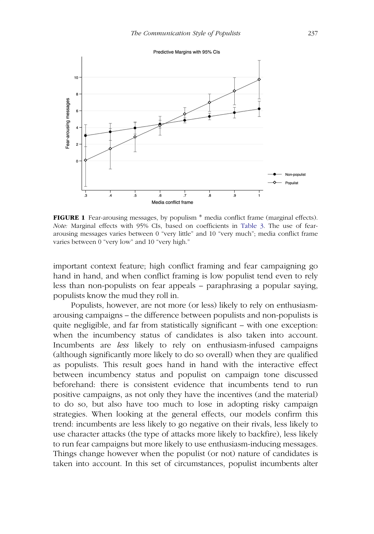



FIGURE 1 Fear-arousing messages, by populism  $*$  media conflict frame (marginal effects). Note: Marginal effects with 95% CIs, based on coefficients in [Table 3](#page-18-0). The use of feararousing messages varies between 0 "very little" and 10 "very much"; media conflict frame varies between 0 "very low" and 10 "very high."

important context feature; high conflict framing and fear campaigning go hand in hand, and when conflict framing is low populist tend even to rely less than non-populists on fear appeals – paraphrasing a popular saying, populists know the mud they roll in.

Populists, however, are not more (or less) likely to rely on enthusiasmarousing campaigns – the difference between populists and non-populists is quite negligible, and far from statistically significant – with one exception: when the incumbency status of candidates is also taken into account. Incumbents are less likely to rely on enthusiasm-infused campaigns (although significantly more likely to do so overall) when they are qualified as populists. This result goes hand in hand with the interactive effect between incumbency status and populist on campaign tone discussed beforehand: there is consistent evidence that incumbents tend to run positive campaigns, as not only they have the incentives (and the material) to do so, but also have too much to lose in adopting risky campaign strategies. When looking at the general effects, our models confirm this trend: incumbents are less likely to go negative on their rivals, less likely to use character attacks (the type of attacks more likely to backfire), less likely to run fear campaigns but more likely to use enthusiasm-inducing messages. Things change however when the populist (or not) nature of candidates is taken into account. In this set of circumstances, populist incumbents alter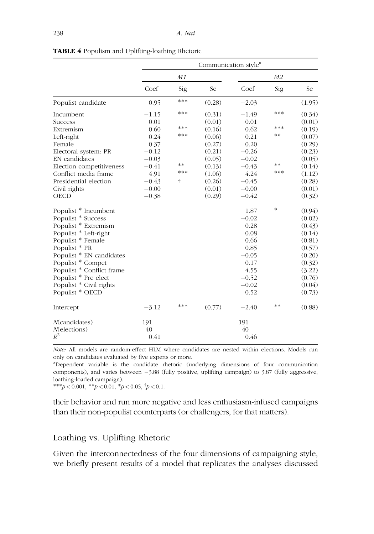|                           |         |      | Communication style <sup>a</sup> |         |                |        |
|---------------------------|---------|------|----------------------------------|---------|----------------|--------|
|                           |         | M1   |                                  |         | M <sub>2</sub> |        |
|                           | Coef    | Sig  | <b>Se</b>                        | Coef    | Sig            | Se     |
| Populist candidate        | 0.95    | ***  | (0.28)                           | $-2.03$ |                | (1.95) |
| Incumbent                 | $-1.15$ | ***  | (0.31)                           | $-1.49$ | ***            | (0.34) |
| Success                   | 0.01    |      | (0.01)                           | 0.01    |                | (0.01) |
| Extremism                 | 0.60    | ***  | (0.16)                           | 0.62    | ***            | (0.19) |
| Left-right                | 0.24    | ***  | (0.06)                           | 0.21    | **             | (0.07) |
| Female                    | 0.37    |      | (0.27)                           | 0.20    |                | (0.29) |
| Electoral system: PR      | $-0.12$ |      | (0.21)                           | $-0.26$ |                | (0.23) |
| EN candidates             | $-0.03$ |      | (0.05)                           | $-0.02$ |                | (0.05) |
| Election competitiveness  | $-0.41$ | $**$ | (0.13)                           | $-0.43$ | $**$           | (0.14) |
| Conflict media frame      | 4.91    | ***  | (1.06)                           | 4.24    | ***            | (1.12) |
| Presidential election     | $-0.43$ | t    | (0.26)                           | $-0.45$ |                | (0.28) |
| Civil rights              | $-0.00$ |      | (0.01)                           | $-0.00$ |                | (0.01) |
| <b>OECD</b>               | $-0.38$ |      | (0.29)                           | $-0.42$ |                | (0.32) |
| Populist * Incumbent      |         |      |                                  | 1.87    | $\ast$         | (0.94) |
| Populist * Success        |         |      |                                  | $-0.02$ |                | (0.02) |
| Populist * Extremism      |         |      |                                  | 0.28    |                | (0.43) |
| Populist * Left-right     |         |      |                                  | 0.08    |                | (0.14) |
| Populist * Female         |         |      |                                  | 0.66    |                | (0.81) |
| Populist * PR             |         |      |                                  | 0.85    |                | (0.57) |
| Populist * EN candidates  |         |      |                                  | $-0.05$ |                | (0.20) |
| Populist * Compet         |         |      |                                  | 0.17    |                | (0.32) |
| Populist * Conflict frame |         |      |                                  | 4.55    |                | (3.22) |
| Populist * Pre elect      |         |      |                                  | $-0.52$ |                | (0.76) |
| Populist * Civil rights   |         |      |                                  | $-0.02$ |                | (0.04) |
| Populist * OECD           |         |      |                                  | 0.52    |                | (0.73) |
| Intercept                 | $-3.12$ | ***  | (0.77)                           | $-2.40$ | $**$           | (0.88) |
| Mcandidates)              | 191     |      |                                  | 191     |                |        |
| N(elections)              | 40      |      |                                  | 40      |                |        |
| $R^2$                     | 0.41    |      |                                  | 0.46    |                |        |

<span id="page-20-0"></span>TABLE 4 Populism and Uplifting-loathing Rhetoric

Note: All models are random-effect HLM where candidates are nested within elections. Models run only on candidates evaluated by five experts or more.

<sup>a</sup>Dependent variable is the candidate rhetoric (underlying dimensions of four communication components), and varies between  $-3.88$  (fully positive, uplifting campaign) to  $3.87$  (fully aggressive, loathing-loaded campaign).

\*\*\* $p < 0.001$ , \*\* $p < 0.01$ , \* $p < 0.05$ ,  $\frac{1}{7}p < 0.1$ .

their behavior and run more negative and less enthusiasm-infused campaigns than their non-populist counterparts (or challengers, for that matters).

# Loathing vs. Uplifting Rhetoric

Given the interconnectedness of the four dimensions of campaigning style, we briefly present results of a model that replicates the analyses discussed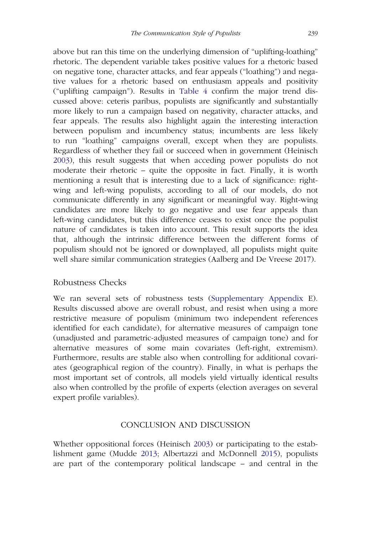above but ran this time on the underlying dimension of "uplifting-loathing" rhetoric. The dependent variable takes positive values for a rhetoric based on negative tone, character attacks, and fear appeals ("loathing") and negative values for a rhetoric based on enthusiasm appeals and positivity ("uplifting campaign"). Results in [Table 4](#page-20-0) confirm the major trend discussed above: ceteris paribus, populists are significantly and substantially more likely to run a campaign based on negativity, character attacks, and fear appeals. The results also highlight again the interesting interaction between populism and incumbency status; incumbents are less likely to run "loathing" campaigns overall, except when they are populists. Regardless of whether they fail or succeed when in government (Heinisch [2003\)](#page-28-0), this result suggests that when acceding power populists do not moderate their rhetoric – quite the opposite in fact. Finally, it is worth mentioning a result that is interesting due to a lack of significance: rightwing and left-wing populists, according to all of our models, do not communicate differently in any significant or meaningful way. Right-wing candidates are more likely to go negative and use fear appeals than left-wing candidates, but this difference ceases to exist once the populist nature of candidates is taken into account. This result supports the idea that, although the intrinsic difference between the different forms of populism should not be ignored or downplayed, all populists might quite well share similar communication strategies (Aalberg and De Vreese 2017).

### Robustness Checks

We ran several sets of robustness tests ([Supplementary Appendix](https://doi.org/10.1080/15377857.2018.1491439) E). Results discussed above are overall robust, and resist when using a more restrictive measure of populism (minimum two independent references identified for each candidate), for alternative measures of campaign tone (unadjusted and parametric-adjusted measures of campaign tone) and for alternative measures of some main covariates (left-right, extremism). Furthermore, results are stable also when controlling for additional covariates (geographical region of the country). Finally, in what is perhaps the most important set of controls, all models yield virtually identical results also when controlled by the profile of experts (election averages on several expert profile variables).

### CONCLUSION AND DISCUSSION

Whether oppositional forces (Heinisch [2003\)](#page-28-0) or participating to the establishment game (Mudde [2013;](#page-30-0) Albertazzi and McDonnell [2015\)](#page-25-0), populists are part of the contemporary political landscape – and central in the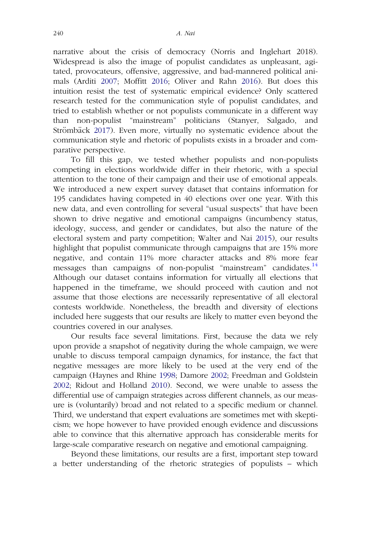<span id="page-22-0"></span>narrative about the crisis of democracy (Norris and Inglehart 2018). Widespread is also the image of populist candidates as unpleasant, agitated, provocateurs, offensive, aggressive, and bad-mannered political animals (Arditi [2007;](#page-26-0) Moffitt [2016](#page-29-0); Oliver and Rahn [2016](#page-30-0)). But does this intuition resist the test of systematic empirical evidence? Only scattered research tested for the communication style of populist candidates, and tried to establish whether or not populists communicate in a different way than non-populist "mainstream" politicians (Stanyer, Salgado, and Strömbäck [2017](#page-31-0)). Even more, virtually no systematic evidence about the communication style and rhetoric of populists exists in a broader and comparative perspective.

To fill this gap, we tested whether populists and non-populists competing in elections worldwide differ in their rhetoric, with a special attention to the tone of their campaign and their use of emotional appeals. We introduced a new expert survey dataset that contains information for 195 candidates having competed in 40 elections over one year. With this new data, and even controlling for several "usual suspects" that have been shown to drive negative and emotional campaigns (incumbency status, ideology, success, and gender or candidates, but also the nature of the electoral system and party competition; Walter and Nai [2015](#page-32-0)), our results highlight that populist communicate through campaigns that are 15% more negative, and contain 11% more character attacks and 8% more fear messages than campaigns of non-populist "mainstream" candidates.<sup>[14](#page-25-0)</sup> Although our dataset contains information for virtually all elections that happened in the timeframe, we should proceed with caution and not assume that those elections are necessarily representative of all electoral contests worldwide. Nonetheless, the breadth and diversity of elections included here suggests that our results are likely to matter even beyond the countries covered in our analyses.

Our results face several limitations. First, because the data we rely upon provide a snapshot of negativity during the whole campaign, we were unable to discuss temporal campaign dynamics, for instance, the fact that negative messages are more likely to be used at the very end of the campaign (Haynes and Rhine [1998](#page-28-0); Damore [2002;](#page-27-0) Freedman and Goldstein [2002](#page-27-0); Ridout and Holland [2010](#page-31-0)). Second, we were unable to assess the differential use of campaign strategies across different channels, as our measure is (voluntarily) broad and not related to a specific medium or channel. Third, we understand that expert evaluations are sometimes met with skepticism; we hope however to have provided enough evidence and discussions able to convince that this alternative approach has considerable merits for large-scale comparative research on negative and emotional campaigning.

Beyond these limitations, our results are a first, important step toward a better understanding of the rhetoric strategies of populists – which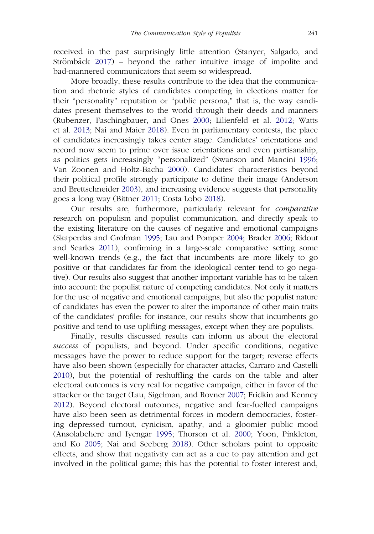<span id="page-23-0"></span>received in the past surprisingly little attention (Stanyer, Salgado, and Strömbäck  $2017$ ) – beyond the rather intuitive image of impolite and bad-mannered communicators that seem so widespread.

More broadly, these results contribute to the idea that the communication and rhetoric styles of candidates competing in elections matter for their "personality" reputation or "public persona," that is, the way candidates present themselves to the world through their deeds and manners (Rubenzer, Faschingbauer, and Ones [2000](#page-31-0); Lilienfeld et al. [2012;](#page-29-0) Watts et al. [2013](#page-32-0); Nai and Maier [2018\)](#page-30-0). Even in parliamentary contests, the place of candidates increasingly takes center stage. Candidates' orientations and record now seem to prime over issue orientations and even partisanship, as politics gets increasingly "personalized" (Swanson and Mancini [1996;](#page-31-0) Van Zoonen and Holtz-Bacha [2000](#page-31-0)). Candidates' characteristics beyond their political profile strongly participate to define their image (Anderson and Brettschneider [2003\)](#page-25-0), and increasing evidence suggests that personality goes a long way (Bittner [2011;](#page-26-0) Costa Lobo [2018](#page-27-0)).

Our results are, furthermore, particularly relevant for *comparative* research on populism and populist communication, and directly speak to the existing literature on the causes of negative and emotional campaigns (Skaperdas and Grofman [1995;](#page-31-0) Lau and Pomper [2004](#page-29-0); Brader [2006](#page-26-0); Ridout and Searles [2011\)](#page-31-0), confirming in a large-scale comparative setting some well-known trends (e.g., the fact that incumbents are more likely to go positive or that candidates far from the ideological center tend to go negative). Our results also suggest that another important variable has to be taken into account: the populist nature of competing candidates. Not only it matters for the use of negative and emotional campaigns, but also the populist nature of candidates has even the power to alter the importance of other main traits of the candidates' profile: for instance, our results show that incumbents go positive and tend to use uplifting messages, except when they are populists.

Finally, results discussed results can inform us about the electoral success of populists, and beyond. Under specific conditions, negative messages have the power to reduce support for the target; reverse effects have also been shown (especially for character attacks, Carraro and Castelli [2010\)](#page-26-0), but the potential of reshuffling the cards on the table and alter electoral outcomes is very real for negative campaign, either in favor of the attacker or the target (Lau, Sigelman, and Rovner [2007](#page-29-0); Fridkin and Kenney [2012\)](#page-27-0). Beyond electoral outcomes, negative and fear-fuelled campaigns have also been seen as detrimental forces in modern democracies, fostering depressed turnout, cynicism, apathy, and a gloomier public mood (Ansolabehere and Iyengar [1995;](#page-26-0) Thorson et al. [2000](#page-31-0); Yoon, Pinkleton, and Ko [2005;](#page-32-0) Nai and Seeberg [2018\)](#page-30-0). Other scholars point to opposite effects, and show that negativity can act as a cue to pay attention and get involved in the political game; this has the potential to foster interest and,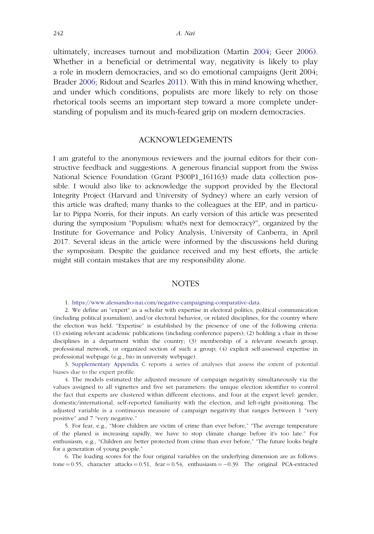<span id="page-24-0"></span>ultimately, increases turnout and mobilization (Martin [2004;](#page-29-0) Geer [2006\)](#page-28-0). Whether in a beneficial or detrimental way, negativity is likely to play a role in modern democracies, and so do emotional campaigns (Jerit 2004; Brader [2006](#page-26-0); Ridout and Searles [2011](#page-31-0)). With this in mind knowing whether, and under which conditions, populists are more likely to rely on those rhetorical tools seems an important step toward a more complete understanding of populism and its much-feared grip on modern democracies.

#### ACKNOWLEDGEMENTS

I am grateful to the anonymous reviewers and the journal editors for their constructive feedback and suggestions. A generous financial support from the Swiss National Science Foundation (Grant P300P1\_161163) made data collection possible. I would also like to acknowledge the support provided by the Electoral Integrity Project (Harvard and University of Sydney) where an early version of this article was drafted; many thanks to the colleagues at the EIP, and in particular to Pippa Norris, for their inputs. An early version of this article was presented during the symposium "Populism: what?s next for democracy?", organized by the Institute for Governance and Policy Analysis, University of Canberra, in April 2017. Several ideas in the article were informed by the discussions held during the symposium. Despite the guidance received and my best efforts, the article might still contain mistakes that are my responsibility alone.

#### NOTES

1. [https://www.alessandro-nai.com/negative-campaigning-comparative-data.](https://www.alessandro-nai.com/negative-campaigning-comparative-data)

2. We define an "expert" as a scholar with expertise in electoral politics, political communication (including political journalism), and/or electoral behavior, or related disciplines, for the country where the election was held. "Expertise" is established by the presence of one of the following criteria: (1) existing relevant academic publications (including conference papers); (2) holding a chair in those disciplines in a department within the country; (3) membership of a relevant research group, professional network, or organized section of such a group; (4) explicit self-assessed expertise in professional webpage (e.g., bio in university webpage).

3. [Supplementary Appendix](https://doi.org/10.1080/15377857.2018.1491439) C reports a series of analyses that assess the extent of potential biases due to the expert profile.

4. The models estimated the adjusted measure of campaign negativity simultaneously via the values assigned to all vignettes and five set parameters: the unique election identifier to control the fact that experts are clustered within different elections, and four at the expert level: gender, domestic/international, self-reported familiarity with the election, and left-right positioning. The adjusted variable is a continuous measure of campaign negativity that ranges between 1 "very positive" and 7 "very negative."

5. For fear, e.g., "More children are victim of crime than ever before," "The average temperature of the planed is increasing rapidly, we have to stop climate change before it's too late." For enthusiasm, e.g., "Children are better protected from crime than ever before," "The future looks bright for a generation of young people."

6. The loading scores for the four original variables on the underlying dimension are as follows: tone  $= 0.55$ , character attacks  $= 0.51$ , fear  $= 0.54$ , enthusiasm  $= -0.39$ . The original PCA-extracted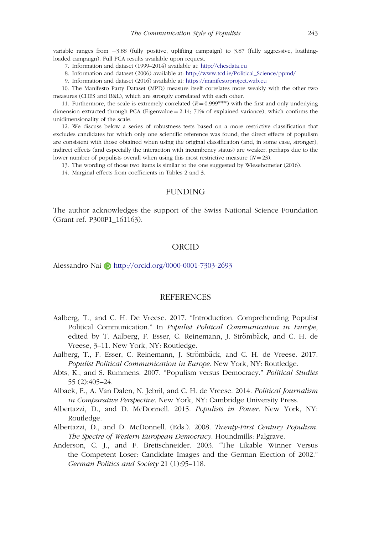<span id="page-25-0"></span>variable ranges from  $-3.88$  (fully positive, uplifting campaign) to 3.87 (fully aggressive, loathingloaded campaign). Full PCA results available upon request.

7. Information and dataset (1999–2014) available at: <http://chesdata.eu>

8. Information and dataset (2006) available at: [http://www.tcd.ie/Political\\_Science/ppmd/](http://www.tcd.ie/Political_Science/ppmd/)

9. Information and dataset (2016) available at: <https://manifestoproject.wzb.eu>

10. The Manifesto Party Dataset (MPD) measure itself correlates more weakly with the other two measures (CHES and B&L), which are strongly correlated with each other.

11. Furthermore, the scale is extremely correlated  $(R = 0.999***)$  with the first and only underlying dimension extracted through PCA (Eigenvalue  $=$  2.14; 71% of explained variance), which confirms the unidimensionality of the scale.

12. We discuss below a series of robustness tests based on a more restrictive classification that excludes candidates for which only one scientific reference was found; the direct effects of populism are consistent with those obtained when using the original classification (and, in some case, stronger); indirect effects (and especially the interaction with incumbency status) are weaker, perhaps due to the lower number of populists overall when using this most restrictive measure  $(N = 23)$ .

13. The wording of those two items is similar to the one suggested by Wiesehomeier (2016).

14. Marginal effects from coefficients in Tables 2 and 3.

#### FUNDING

The author acknowledges the support of the Swiss National Science Foundation (Grant ref. P300P1\_161163).

#### ORCID

Alessandro Nai D http://orcid.org/0000-0001-7303-2693

#### **REFERENCES**

- Aalberg, T., and C. H. De Vreese. 2017. "Introduction. Comprehending Populist Political Communication." In Populist Political Communication in Europe, edited by T. Aalberg, F. Esser, C. Reinemann, J. Strömbäck, and C. H. de Vreese, 3–11. New York, NY: Routledge.
- Aalberg, T., F. Esser, C. Reinemann, J. Strömbäck, and C. H. de Vreese. [2017.](#page-3-0) Populist Political Communication in Europe. New York, NY: Routledge.
- Abts, K., and S. Rummens. [2007](#page-4-0). "Populism versus Democracy." Political Studies 55 (2):405–24.
- Albaek, E., A. Van Dalen, N. Jebril, and C. H. de Vreese. [2014](#page-12-0). Political Journalism in Comparative Perspective. New York, NY: Cambridge University Press.
- Albertazzi, D., and D. McDonnell. [2015.](#page-17-0) Populists in Power. New York, NY: Routledge.
- Albertazzi, D., and D. McDonnell. (Eds.). [2008.](#page-13-0) Twenty-First Century Populism. The Spectre of Western European Democracy. Houndmills: Palgrave.
- Anderson, C. J., and F. Brettschneider. [2003](#page-23-0). "The Likable Winner Versus the Competent Loser: Candidate Images and the German Election of 2002." German Politics and Society 21 (1):95–118.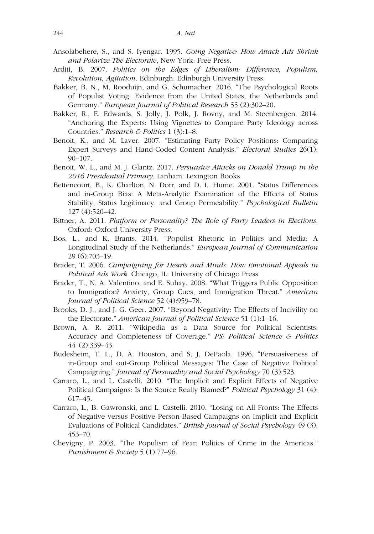- <span id="page-26-0"></span>Ansolabehere, S., and S. Iyengar. [1995](#page-23-0). Going Negative: How Attack Ads Shrink and Polarize The Electorate, New York: Free Press.
- Arditi, B. [2007](#page-2-0). Politics on the Edges of Liberalism: Difference, Populism, Revolution, Agitation. Edinburgh: Edinburgh University Press.
- Bakker, B. N., M. Rooduijn, and G. Schumacher. [2016](#page-4-0). "The Psychological Roots of Populist Voting: Evidence from the United States, the Netherlands and Germany." European Journal of Political Research 55 (2):302–20.
- Bakker, R., E. Edwards, S. Jolly, J. Polk, J. Rovny, and M. Steenbergen. [2014.](#page-10-0) "Anchoring the Experts: Using Vignettes to Compare Party Ideology across Countries." Research & Politics 1 (3):1-8.
- Benoit, K., and M. Laver. [2007](#page-11-0). "Estimating Party Policy Positions: Comparing Expert Surveys and Hand-Coded Content Analysis." Electoral Studies 26(1): 90–107.
- Benoit, W. L., and M. J. Glantz. [2017](#page-8-0). Persuasive Attacks on Donald Trump in the 2016 Presidential Primary. Lanham: Lexington Books.
- Bettencourt, B., K. Charlton, N. Dorr, and D. L. Hume. [2001](#page-8-0). "Status Differences and in-Group Bias: A Meta-Analytic Examination of the Effects of Status Stability, Status Legitimacy, and Group Permeability." Psychological Bulletin 127 (4):520–42.
- Bittner, A. [2011](#page-23-0). Platform or Personality? The Role of Party Leaders in Elections. Oxford: Oxford University Press.
- Bos, L., and K. Brants. [2014](#page-3-0). "Populist Rhetoric in Politics and Media: A Longitudinal Study of the Netherlands." European Journal of Communication 29 (6):703–19.
- Brader, T. [2006](#page-6-0). Campaigning for Hearts and Minds: How Emotional Appeals in Political Ads Work. Chicago, IL: University of Chicago Press.
- Brader, T., N. A. Valentino, and E. Suhay. [2008](#page-8-0). "What Triggers Public Opposition to Immigration? Anxiety, Group Cues, and Immigration Threat." American Journal of Political Science 52 (4):959–78.
- Brooks, D. J., and J. G. Geer. [2007](#page-6-0). "Beyond Negativity: The Effects of Incivility on the Electorate." American Journal of Political Science 51 (1):1–16.
- Brown, A. R. [2011.](#page-12-0) "Wikipedia as a Data Source for Political Scientists: Accuracy and Completeness of Coverage." PS: Political Science & Politics 44 (2):339–43.
- Budesheim, T. L., D. A. Houston, and S. J. DePaola. [1996](#page-6-0). "Persuasiveness of in-Group and out-Group Political Messages: The Case of Negative Political Campaigning." Journal of Personality and Social Psychology 70 (3):523.
- Carraro, L., and L. Castelli. [2010](#page-6-0). "The Implicit and Explicit Effects of Negative Political Campaigns: Is the Source Really Blamed?" Political Psychology 31 (4): 617–45.
- Carraro, L., B. Gawronski, and L. Castelli. [2010](#page-6-0). "Losing on All Fronts: The Effects of Negative versus Positive Person-Based Campaigns on Implicit and Explicit Evaluations of Political Candidates." British Journal of Social Psychology 49 (3): 453–70.
- Chevigny, P. [2003](#page-8-0). "The Populism of Fear: Politics of Crime in the Americas." Punishment & Society  $5(1)$ :77-96.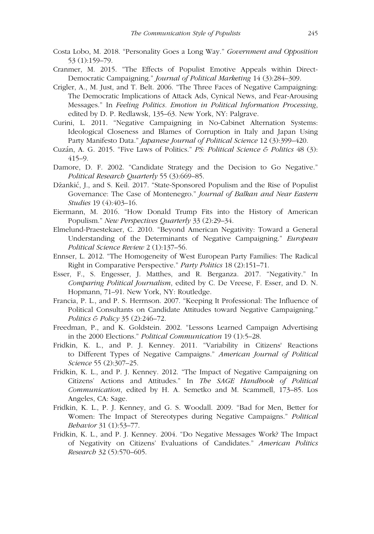- <span id="page-27-0"></span>Costa Lobo, M. [2018.](#page-23-0) "Personality Goes a Long Way." Government and Opposition 53 (1):159–79.
- Cranmer, M. [2015](#page-8-0). "The Effects of Populist Emotive Appeals within Direct-Democratic Campaigning." Journal of Political Marketing 14 (3):284–309.
- Crigler, A., M. Just, and T. Belt. [2006](#page-6-0). "The Three Faces of Negative Campaigning: The Democratic Implications of Attack Ads, Cynical News, and Fear-Arousing Messages." In Feeling Politics. Emotion in Political Information Processing, edited by D. P. Redlawsk, 135–63. New York, NY: Palgrave.
- Curini, L. [2011.](#page-9-0) "Negative Campaigning in No-Cabinet Alternation Systems: Ideological Closeness and Blames of Corruption in Italy and Japan Using Party Manifesto Data." Japanese Journal of Political Science 12 (3):399–420.
- Cuzán, A. G. [2015.](#page-12-0) "Five Laws of Politics." PS: Political Science & Politics 48 (3): 415–9.
- Damore, D. F. [2002.](#page-22-0) "Candidate Strategy and the Decision to Go Negative." Political Research Quarterly 55 (3):669–85.
- Džankić, J., and S. Keil. [2017](#page-13-0). "State-Sponsored Populism and the Rise of Populist Governance: The Case of Montenegro." Journal of Balkan and Near Eastern Studies 19 (4):403–16.
- Eiermann, M. [2016.](#page-2-0) "How Donald Trump Fits into the History of American Populism." New Perspectives Quarterly 33 (2):29–34.
- Elmelund-Praestekaer, C. [2010](#page-9-0). "Beyond American Negativity: Toward a General Understanding of the Determinants of Negative Campaigning." European Political Science Review 2 (1):137–56.
- Ennser, L. [2012](#page-14-0). "The Homogeneity of West European Party Families: The Radical Right in Comparative Perspective." Party Politics 18 (2):151–71.
- Esser, F., S. Engesser, J. Matthes, and R. Berganza. [2017](#page-12-0). "Negativity." In Comparing Political Journalism, edited by C. De Vreese, F. Esser, and D. N. Hopmann, 71–91. New York, NY: Routledge.
- Francia, P. L., and P. S. Herrnson. [2007.](#page-15-0) "Keeping It Professional: The Influence of Political Consultants on Candidate Attitudes toward Negative Campaigning." Politics & Policy 35 (2):246–72.
- Freedman, P., and K. Goldstein. [2002.](#page-22-0) "Lessons Learned Campaign Advertising in the 2000 Elections." Political Communication 19 (1):5–28.
- Fridkin, K. L., and P. J. Kenney. [2011](#page-6-0). "Variability in Citizens' Reactions to Different Types of Negative Campaigns." American Journal of Political Science 55 (2):307–25.
- Fridkin, K. L., and P. J. Kenney. [2012.](#page-23-0) "The Impact of Negative Campaigning on Citizens' Actions and Attitudes." In The SAGE Handbook of Political Communication, edited by H. A. Semetko and M. Scammell, 173–85. Los Angeles, CA: Sage.
- Fridkin, K. L., P. J. Kenney, and G. S. Woodall. [2009](#page-6-0). "Bad for Men, Better for Women: The Impact of Stereotypes during Negative Campaigns." Political Behavior 31 (1):53–77.
- Fridkin, K. L., and P. J. Kenney. [2004](#page-6-0). "Do Negative Messages Work? The Impact of Negativity on Citizens' Evaluations of Candidates." American Politics Research 32 (5):570–605.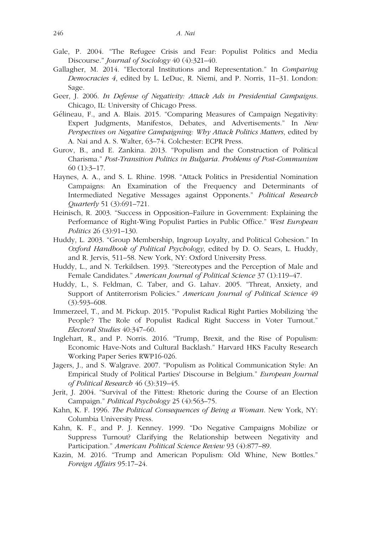- <span id="page-28-0"></span>Gale, P. [2004](#page-8-0). "The Refugee Crisis and Fear: Populist Politics and Media Discourse." Journal of Sociology 40 (4):321–40.
- Gallagher, M. [2014](#page-12-0). "Electoral Institutions and Representation." In Comparing Democracies 4, edited by L. LeDuc, R. Niemi, and P. Norris, 11–31. London: Sage.
- Geer, J. [2006](#page-5-0). In Defense of Negativity: Attack Ads in Presidential Campaigns. Chicago, IL: University of Chicago Press.
- Gélineau, F., and A. Blais. [2015](#page-10-0). "Comparing Measures of Campaign Negativity: Expert Judgments, Manifestos, Debates, and Advertisements." In New Perspectives on Negative Campaigning: Why Attack Politics Matters, edited by A. Nai and A. S. Walter, 63–74. Colchester: ECPR Press.
- Gurov, B., and E. Zankina. [2013](#page-13-0). "Populism and the Construction of Political Charisma." Post-Transition Politics in Bulgaria. Problems of Post-Communism 60 (1):3–17.
- Haynes, A. A., and S. L. Rhine. [1998.](#page-22-0) "Attack Politics in Presidential Nomination Campaigns: An Examination of the Frequency and Determinants of Intermediated Negative Messages against Opponents." Political Research Quarterly 51 (3):691–721.
- Heinisch, R. [2003.](#page-2-0) "Success in Opposition–Failure in Government: Explaining the Performance of Right-Wing Populist Parties in Public Office." West European Politics 26 (3):91–130.
- Huddy, L. [2003.](#page-8-0) "Group Membership, Ingroup Loyalty, and Political Cohesion." In Oxford Handbook of Political Psychology, edited by D. O. Sears, L. Huddy, and R. Jervis, 511–58. New York, NY: Oxford University Press.
- Huddy, L., and N. Terkildsen. [1993.](#page-12-0) "Stereotypes and the Perception of Male and Female Candidates." American Journal of Political Science 37 (1):119–47.
- Huddy, L., S. Feldman, C. Taber, and G. Lahav. [2005](#page-8-0). "Threat, Anxiety, and Support of Antiterrorism Policies." American Journal of Political Science 49  $(3):593-608.$
- Immerzeel, T., and M. Pickup. [2015.](#page-2-0) "Populist Radical Right Parties Mobilizing 'the People'? The Role of Populist Radical Right Success in Voter Turnout." Electoral Studies 40:347–60.
- Inglehart, R., and P. Norris. [2016.](#page-13-0) "Trump, Brexit, and the Rise of Populism: Economic Have-Nots and Cultural Backlash." Harvard HKS Faculty Research Working Paper Series RWP16-026.
- Jagers, J., and S. Walgrave. [2007.](#page-3-0) "Populism as Political Communication Style: An Empirical Study of Political Parties' Discourse in Belgium." European Journal of Political Research 46 (3):319–45.
- Jerit, J. [2004.](#page-6-0) "Survival of the Fittest: Rhetoric during the Course of an Election Campaign." Political Psychology 25 (4):563–75.
- Kahn, K. F. [1996.](#page-6-0) The Political Consequences of Being a Woman. New York, NY: Columbia University Press.
- Kahn, K. F., and P. J. Kenney. [1999.](#page-6-0) "Do Negative Campaigns Mobilize or Suppress Turnout? Clarifying the Relationship between Negativity and Participation." American Political Science Review 93 (4):877–89.
- Kazin, M. [2016.](#page-8-0) "Trump and American Populism: Old Whine, New Bottles." Foreign Affairs 95:17–24.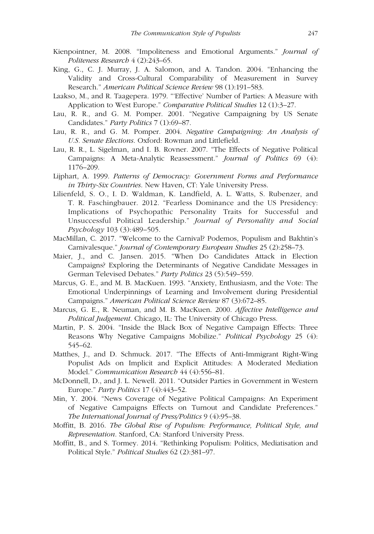- <span id="page-29-0"></span>Kienpointner, M. 2008. "Impoliteness and Emotional Arguments." Journal of Politeness Research 4 (2):243–65.
- King, G., C. J. Murray, J. A. Salomon, and A. Tandon. [2004](#page-10-0). "Enhancing the Validity and Cross-Cultural Comparability of Measurement in Survey Research." American Political Science Review 98 (1):191–583.
- Laakso, M., and R. Taagepera. [1979](#page-12-0). "'Effective' Number of Parties: A Measure with Application to West Europe." Comparative Political Studies 12 (1):3-27.
- Lau, R. R., and G. M. Pomper. [2001.](#page-11-0) "Negative Campaigning by US Senate Candidates." Party Politics 7 (1):69–87.
- Lau, R. R., and G. M. Pomper. [2004.](#page-5-0) Negative Campaigning: An Analysis of U.S. Senate Elections. Oxford: Rowman and Littlefield.
- Lau, R. R., L. Sigelman, and I. B. Rovner. [2007.](#page-6-0) "The Effects of Negative Political Campaigns: A Meta-Analytic Reassessment." Journal of Politics 69 (4): 1176–209.
- Lijphart, A. [1999](#page-12-0). Patterns of Democracy: Government Forms and Performance in Thirty-Six Countries. New Haven, CT: Yale University Press.
- Lilienfeld, S. O., I. D. Waldman, K. Landfield, A. L. Watts, S. Rubenzer, and T. R. Faschingbauer. [2012](#page-23-0). "Fearless Dominance and the US Presidency: Implications of Psychopathic Personality Traits for Successful and Unsuccessful Political Leadership." Journal of Personality and Social Psychology 103 (3):489–505.
- MacMillan, C. [2017](#page-2-0). "Welcome to the Carnival? Podemos, Populism and Bakhtin's Carnivalesque." Journal of Contemporary European Studies 25 (2):258–73.
- Maier, J., and C. Jansen. [2015.](#page-6-0) "When Do Candidates Attack in Election Campaigns? Exploring the Determinants of Negative Candidate Messages in German Televised Debates." Party Politics 23 (5):549–559.
- Marcus, G. E., and M. B. MacKuen. [1993](#page-6-0). "Anxiety, Enthusiasm, and the Vote: The Emotional Underpinnings of Learning and Involvement during Presidential Campaigns." American Political Science Review 87 (3):672–85.
- Marcus, G. E., R. Neuman, and M. B. MacKuen. [2000](#page-6-0). Affective Intelligence and Political Judgement. Chicago, IL: The University of Chicago Press.
- Martin, P. S. [2004](#page-9-0). "Inside the Black Box of Negative Campaign Effects: Three Reasons Why Negative Campaigns Mobilize." Political Psychology 25 (4): 545–62.
- Matthes, J., and D. Schmuck. 2017. "The Effects of Anti-Immigrant Right-Wing Populist Ads on Implicit and Explicit Attitudes: A Moderated Mediation Model." Communication Research 44 (4):556–81.
- McDonnell, D., and J. L. Newell. [2011.](#page-17-0) "Outsider Parties in Government in Western Europe." Party Politics 17 (4):443–52.
- Min, Y. [2004](#page-6-0). "News Coverage of Negative Political Campaigns: An Experiment of Negative Campaigns Effects on Turnout and Candidate Preferences." The International Journal of Press/Politics 9 (4):95–38.
- Moffitt, B. [2016](#page-2-0). The Global Rise of Populism: Performance, Political Style, and Representation. Stanford, CA: Stanford University Press.
- Moffitt, B., and S. Tormey. [2014](#page-5-0). "Rethinking Populism: Politics, Mediatisation and Political Style." Political Studies 62 (2):381–97.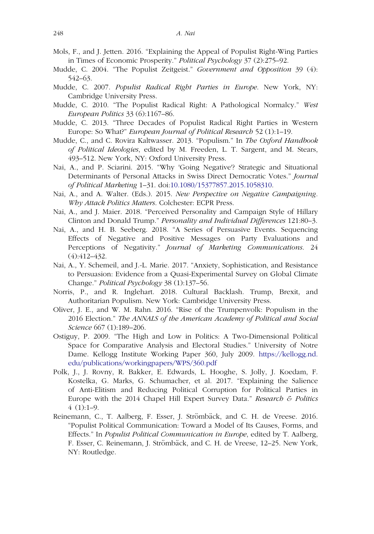- <span id="page-30-0"></span>Mols, F., and J. Jetten. [2016](#page-8-0). "Explaining the Appeal of Populist Right-Wing Parties in Times of Economic Prosperity." Political Psychology 37 (2):275–92.
- Mudde, C. [2004.](#page-4-0) "The Populist Zeitgeist." Government and Opposition 39 (4): 542–63.
- Mudde, C. [2007](#page-13-0). Populist Radical Right Parties in Europe. New York, NY: Cambridge University Press.
- Mudde, C. [2010](#page-5-0). "The Populist Radical Right: A Pathological Normalcy." West European Politics 33 (6):1167–86.
- Mudde, C. [2013.](#page-17-0) "Three Decades of Populist Radical Right Parties in Western Europe: So What?" European Journal of Political Research 52 (1):1–19.
- Mudde, C., and C. Rovira Kaltwasser. 2013. "Populism." In The Oxford Handbook of Political Ideologies, edited by M. Freeden, L. T. Sargent, and M. Stears, 493–512. New York, NY: Oxford University Press.
- Nai, A., and P. Sciarini. [2015.](#page-6-0) "Why 'Going Negative'? Strategic and Situational Determinants of Personal Attacks in Swiss Direct Democratic Votes." Journal of Political Marketing 1–31. doi:[10.1080/15377857.2015.1058310](https://doi.org/10.1080/15377857.2015.1058310).
- Nai, A., and A. Walter. (Eds.). 2015. New Perspective on Negative Campaigning. Why Attack Politics Matters. Colchester: ECPR Press.
- Nai, A., and J. Maier. [2018.](#page-23-0) "Perceived Personality and Campaign Style of Hillary Clinton and Donald Trump." Personality and Individual Differences 121:80–3.
- Nai, A., and H. B. Seeberg. [2018](#page-2-0). "A Series of Persuasive Events. Sequencing Effects of Negative and Positive Messages on Party Evaluations and Perceptions of Negativity." Journal of Marketing Communications. 24 (4):412–432.
- Nai, A., Y. Schemeil, and J.-L. Marie. [2017](#page-7-0). "Anxiety, Sophistication, and Resistance to Persuasion: Evidence from a Quasi-Experimental Survey on Global Climate Change." Political Psychology 38 (1):137–56.
- Norris, P., and R. Inglehart. 2018. Cultural Backlash. Trump, Brexit, and Authoritarian Populism. New York: Cambridge University Press.
- Oliver, J. E., and W. M. Rahn. [2016](#page-2-0). "Rise of the Trumpenvolk: Populism in the 2016 Election." The ANNALS of the American Academy of Political and Social Science 667 (1):189-206.
- Ostiguy, P. [2009.](#page-2-0) "The High and Low in Politics: A Two-Dimensional Political Space for Comparative Analysis and Electoral Studies." University of Notre Dame. Kellogg Institute Working Paper 360, July 2009. [https://kellogg.nd.](https://kellogg.nd.edu/publications/workingpapers/WPS/360.pdf) [edu/publications/workingpapers/WPS/360.pdf](https://kellogg.nd.edu/publications/workingpapers/WPS/360.pdf)
- Polk, J., J. Rovny, R. Bakker, E. Edwards, L. Hooghe, S. Jolly, J. Koedam, F. Kostelka, G. Marks, G. Schumacher, et al. [2017](#page-11-0). "Explaining the Salience of Anti-Elitism and Reducing Political Corruption for Political Parties in Europe with the 2014 Chapel Hill Expert Survey Data." Research & Politics  $4(1):1-9.$
- Reinemann, C., T. Aalberg, F. Esser, J. Strömbäck, and C. H. de Vreese. [2016.](#page-4-0) "Populist Political Communication: Toward a Model of Its Causes, Forms, and Effects." In Populist Political Communication in Europe, edited by T. Aalberg, F. Esser, C. Reinemann, J. Strömbäck, and C. H. de Vreese, 12–25. New York, NY: Routledge.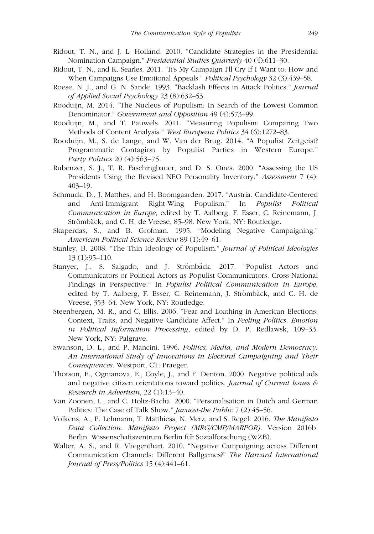- <span id="page-31-0"></span>Ridout, T. N., and J. L. Holland. [2010](#page-22-0). "Candidate Strategies in the Presidential Nomination Campaign." Presidential Studies Quarterly 40 (4):611–30.
- Ridout, T. N., and K. Searles. [2011](#page-6-0). "It's My Campaign I'll Cry If I Want to: How and When Campaigns Use Emotional Appeals." Political Psychology 32 (3):439–58.
- Roese, N. J., and G. N. Sande. [1993.](#page-6-0) "Backlash Effects in Attack Politics." Journal of Applied Social Psychology 23 (8):632–53.
- Rooduijn, M. [2014.](#page-4-0) "The Nucleus of Populism: In Search of the Lowest Common Denominator." Government and Opposition 49 (4):573–99.
- Rooduijn, M., and T. Pauwels. [2011.](#page-5-0) "Measuring Populism: Comparing Two Methods of Content Analysis." West European Politics 34 (6):1272–83.
- Rooduijn, M., S. de Lange, and W. Van der Brug. [2014](#page-4-0). "A Populist Zeitgeist? Programmatic Contagion by Populist Parties in Western Europe." Party Politics 20 (4):563–75.
- Rubenzer, S. J., T. R. Faschingbauer, and D. S. Ones. [2000.](#page-23-0) "Assessing the US Presidents Using the Revised NEO Personality Inventory." Assessment 7 (4): 403–19.
- Schmuck, D., J. Matthes, and H. Boomgaarden. [2017.](#page-2-0) "Austria. Candidate-Centered and Anti-Immigrant Right-Wing Populism." In Populist Political Communication in Europe, edited by T. Aalberg, F. Esser, C. Reinemann, J. Strömbäck, and C. H. de Vreese, 85–98. New York, NY: Routledge.
- Skaperdas, S., and B. Grofman. [1995.](#page-6-0) "Modeling Negative Campaigning." American Political Science Review 89 (1):49–61.
- Stanley, B. [2008.](#page-4-0) "The Thin Ideology of Populism." Journal of Political Ideologies 13 (1):95–110.
- Stanyer, J., S. Salgado, and J. Strömbäck. [2017](#page-3-0). "Populist Actors and Communicators or Political Actors as Populist Communicators. Cross-National Findings in Perspective." In Populist Political Communication in Europe, edited by T. Aalberg, F. Esser, C. Reinemann, J. Strömbäck, and C. H. de Vreese, 353–64. New York, NY: Routledge.
- Steenbergen, M. R., and C. Ellis. [2006](#page-7-0). "Fear and Loathing in American Elections: Context, Traits, and Negative Candidate Affect." In Feeling Politics. Emotion in Political Information Processing, edited by D. P. Redlawsk, 109–33. New York, NY: Palgrave.
- Swanson, D. L., and P. Mancini. [1996](#page-23-0). Politics, Media, and Modern Democracy: An International Study of Innovations in Electoral Campaigning and Their Consequences. Westport, CT: Praeger.
- Thorson, E., Ognianova, E., Coyle, J., and F. Denton. [2000.](#page-23-0) Negative political ads and negative citizen orientations toward politics. Journal of Current Issues  $\varepsilon$ Research in Advertisin, 22 (1):13–40.
- Van Zoonen, L., and C. Holtz-Bacha. [2000](#page-12-0). "Personalisation in Dutch and German Politics: The Case of Talk Show." Javnost-the Public 7 (2):45–56.
- Volkens, A., P. Lehmann, T. Matthiess, N. Merz, and S. Regel. [2016.](#page-11-0) The Manifesto Data Collection. Manifesto Project (MRG/CMP/MARPOR). Version 2016b. Berlin: Wissenschaftszentrum Berlin fur Sozialforschung (WZB).
- Walter, A. S., and R. Vliegenthart. [2010](#page-9-0). "Negative Campaigning across Different Communication Channels: Different Ballgames?" The Harvard International Journal of Press/Politics 15 (4):441–61.